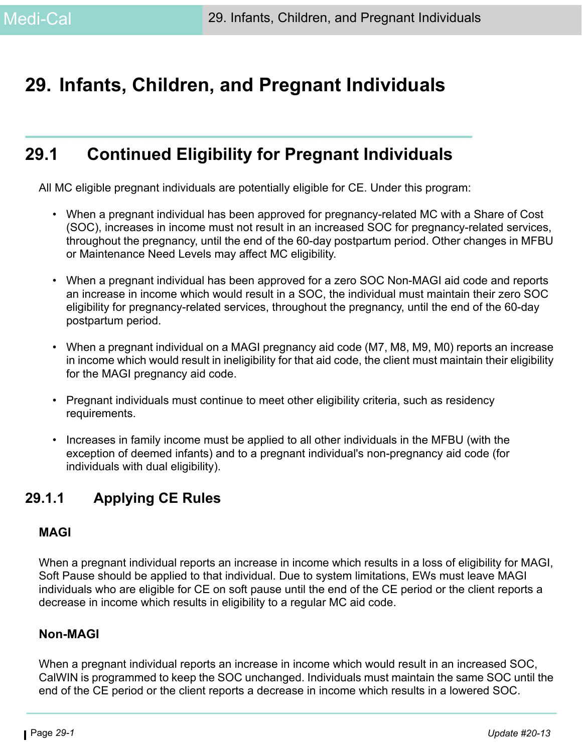# <span id="page-0-0"></span>**29. Infants, Children, and Pregnant Individuals**

# **29.1 Continued Eligibility for Pregnant Individuals**

All MC eligible pregnant individuals are potentially eligible for CE. Under this program:

- When a pregnant individual has been approved for pregnancy-related MC with a Share of Cost (SOC), increases in income must not result in an increased SOC for pregnancy-related services, throughout the pregnancy, until the end of the 60-day postpartum period. Other changes in MFBU or Maintenance Need Levels may affect MC eligibility.
- When a pregnant individual has been approved for a zero SOC Non-MAGI aid code and reports an increase in income which would result in a SOC, the individual must maintain their zero SOC eligibility for pregnancy-related services, throughout the pregnancy, until the end of the 60-day postpartum period.
- When a pregnant individual on a MAGI pregnancy aid code (M7, M8, M9, M0) reports an increase in income which would result in ineligibility for that aid code, the client must maintain their eligibility for the MAGI pregnancy aid code.
- Pregnant individuals must continue to meet other eligibility criteria, such as residency requirements.
- Increases in family income must be applied to all other individuals in the MFBU (with the exception of deemed infants) and to a pregnant individual's non-pregnancy aid code (for individuals with dual eligibility).

## **29.1.1 Applying CE Rules**

#### **MAGI**

When a pregnant individual reports an increase in income which results in a loss of eligibility for MAGI, Soft Pause should be applied to that individual. Due to system limitations, EWs must leave MAGI individuals who are eligible for CE on soft pause until the end of the CE period or the client reports a decrease in income which results in eligibility to a regular MC aid code.

#### **Non-MAGI**

When a pregnant individual reports an increase in income which would result in an increased SOC, CalWIN is programmed to keep the SOC unchanged. Individuals must maintain the same SOC until the end of the CE period or the client reports a decrease in income which results in a lowered SOC.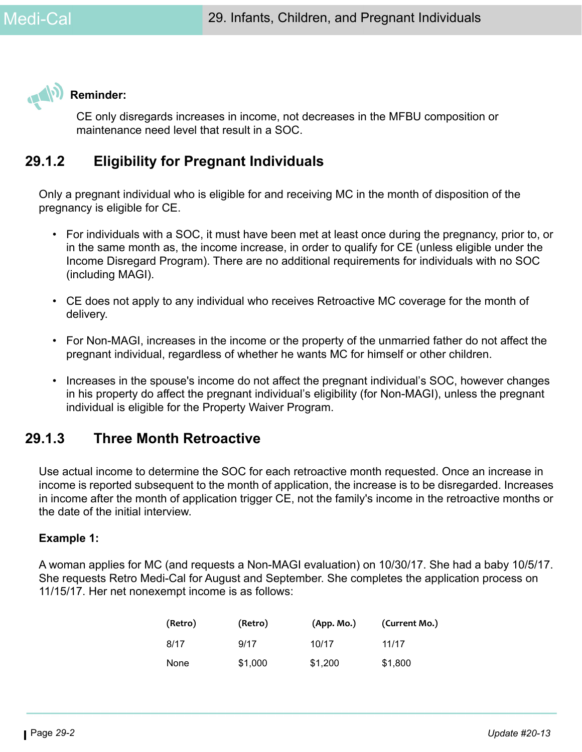

CE only disregards increases in income, not decreases in the MFBU composition or maintenance need level that result in a SOC.

## **29.1.2 Eligibility for Pregnant Individuals**

Only a pregnant individual who is eligible for and receiving MC in the month of disposition of the pregnancy is eligible for CE.

- For individuals with a SOC, it must have been met at least once during the pregnancy, prior to, or in the same month as, the income increase, in order to qualify for CE (unless eligible under the Income Disregard Program). There are no additional requirements for individuals with no SOC (including MAGI).
- CE does not apply to any individual who receives Retroactive MC coverage for the month of delivery.
- For Non-MAGI, increases in the income or the property of the unmarried father do not affect the pregnant individual, regardless of whether he wants MC for himself or other children.
- Increases in the spouse's income do not affect the pregnant individual's SOC, however changes in his property do affect the pregnant individual's eligibility (for Non-MAGI), unless the pregnant individual is eligible for the Property Waiver Program.

## <span id="page-1-0"></span>**29.1.3 Three Month Retroactive**

Use actual income to determine the SOC for each retroactive month requested. Once an increase in income is reported subsequent to the month of application, the increase is to be disregarded. Increases in income after the month of application trigger CE, not the family's income in the retroactive months or the date of the initial interview.

#### **Example 1:**

A woman applies for MC (and requests a Non-MAGI evaluation) on 10/30/17. She had a baby 10/5/17. She requests Retro Medi-Cal for August and September. She completes the application process on 11/15/17. Her net nonexempt income is as follows:

| (Retro) | (Retro) | (App. Mo.) | (Current Mo.) |
|---------|---------|------------|---------------|
| 8/17    | 9/17    | 10/17      | 11/17         |
| None    | \$1,000 | \$1,200    | \$1,800       |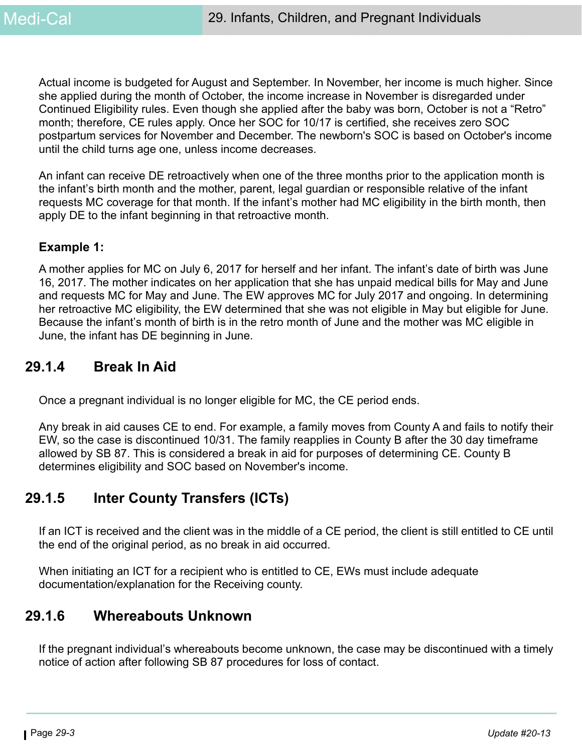Actual income is budgeted for August and September. In November, her income is much higher. Since she applied during the month of October, the income increase in November is disregarded under Continued Eligibility rules. Even though she applied after the baby was born, October is not a "Retro" month; therefore, CE rules apply. Once her SOC for 10/17 is certified, she receives zero SOC postpartum services for November and December. The newborn's SOC is based on October's income until the child turns age one, unless income decreases.

An infant can receive DE retroactively when one of the three months prior to the application month is the infant's birth month and the mother, parent, legal guardian or responsible relative of the infant requests MC coverage for that month. If the infant's mother had MC eligibility in the birth month, then apply DE to the infant beginning in that retroactive month.

#### **Example 1:**

A mother applies for MC on July 6, 2017 for herself and her infant. The infant's date of birth was June 16, 2017. The mother indicates on her application that she has unpaid medical bills for May and June and requests MC for May and June. The EW approves MC for July 2017 and ongoing. In determining her retroactive MC eligibility, the EW determined that she was not eligible in May but eligible for June. Because the infant's month of birth is in the retro month of June and the mother was MC eligible in June, the infant has DE beginning in June.

## **29.1.4 Break In Aid**

Once a pregnant individual is no longer eligible for MC, the CE period ends.

Any break in aid causes CE to end. For example, a family moves from County A and fails to notify their EW, so the case is discontinued 10/31. The family reapplies in County B after the 30 day timeframe allowed by SB 87. This is considered a break in aid for purposes of determining CE. County B determines eligibility and SOC based on November's income.

## **29.1.5 Inter County Transfers (ICTs)**

If an ICT is received and the client was in the middle of a CE period, the client is still entitled to CE until the end of the original period, as no break in aid occurred.

When initiating an ICT for a recipient who is entitled to CE, EWs must include adequate documentation/explanation for the Receiving county.

## **29.1.6 Whereabouts Unknown**

If the pregnant individual's whereabouts become unknown, the case may be discontinued with a timely notice of action after following SB 87 procedures for loss of contact.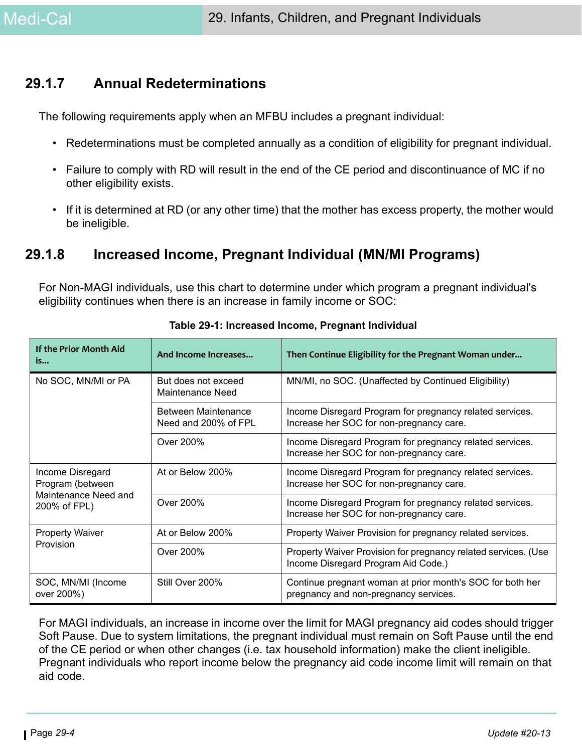## **29.1.7 Annual Redeterminations**

The following requirements apply when an MFBU includes a pregnant individual:

- Redeterminations must be completed annually as a condition of eligibility for pregnant individual.
- Failure to comply with RD will result in the end of the CE period and discontinuance of MC if no other eligibility exists.
- If it is determined at RD (or any other time) that the mother has excess property, the mother would be ineligible.

## **29.1.8 Increased Income, Pregnant Individual (MN/MI Programs)**

For Non-MAGI individuals, use this chart to determine under which program a pregnant individual's eligibility continues when there is an increase in family income or SOC:

| If the Prior Month Aid<br>is                        | And Income Increases                        | Then Continue Eligibility for the Pregnant Woman under                                                |  |
|-----------------------------------------------------|---------------------------------------------|-------------------------------------------------------------------------------------------------------|--|
| No SOC, MN/MI or PA                                 | But does not exceed<br>Maintenance Need     | MN/MI, no SOC. (Unaffected by Continued Eligibility)                                                  |  |
|                                                     | Between Maintenance<br>Need and 200% of FPL | Income Disregard Program for pregnancy related services.<br>Increase her SOC for non-pregnancy care.  |  |
|                                                     | Over 200%                                   | Income Disregard Program for pregnancy related services.<br>Increase her SOC for non-pregnancy care.  |  |
| Income Disregard<br>Program (between                | At or Below 200%                            | Income Disregard Program for pregnancy related services.<br>Increase her SOC for non-pregnancy care.  |  |
| Maintenance Need and<br>200% of FPL)                | Over 200%                                   | Income Disregard Program for pregnancy related services.<br>Increase her SOC for non-pregnancy care.  |  |
| <b>Property Waiver</b>                              | At or Below 200%                            | Property Waiver Provision for pregnancy related services.                                             |  |
| Provision                                           | Over 200%                                   | Property Waiver Provision for pregnancy related services. (Use<br>Income Disregard Program Aid Code.) |  |
| SOC, MN/MI (Income<br>Still Over 200%<br>over 200%) |                                             | Continue pregnant woman at prior month's SOC for both her<br>pregnancy and non-pregnancy services.    |  |

**Table 29-1: Increased Income, Pregnant Individual**

For MAGI individuals, an increase in income over the limit for MAGI pregnancy aid codes should trigger Soft Pause. Due to system limitations, the pregnant individual must remain on Soft Pause until the end of the CE period or when other changes (i.e. tax household information) make the client ineligible. Pregnant individuals who report income below the pregnancy aid code income limit will remain on that aid code.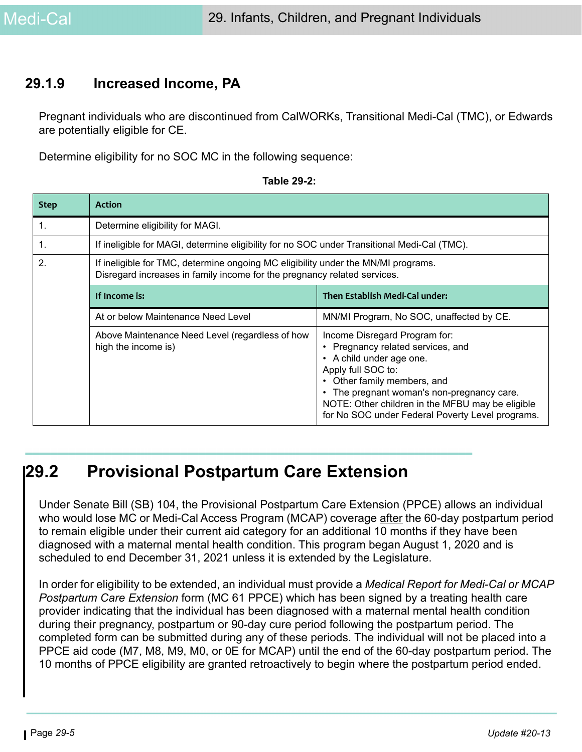## **29.1.9 Increased Income, PA**

Pregnant individuals who are discontinued from CalWORKs, Transitional Medi-Cal (TMC), or Edwards are potentially eligible for CE.

Determine eligibility for no SOC MC in the following sequence:

| <b>Step</b>    | <b>Action</b>                                                                                                                                                 |                                                                                                                                                                                                                                                              |  |  |
|----------------|---------------------------------------------------------------------------------------------------------------------------------------------------------------|--------------------------------------------------------------------------------------------------------------------------------------------------------------------------------------------------------------------------------------------------------------|--|--|
| $\mathbf{1}$ . | Determine eligibility for MAGI.                                                                                                                               |                                                                                                                                                                                                                                                              |  |  |
| 1.             |                                                                                                                                                               | If ineligible for MAGI, determine eligibility for no SOC under Transitional Medi-Cal (TMC).                                                                                                                                                                  |  |  |
| 2.             | If ineligible for TMC, determine ongoing MC eligibility under the MN/MI programs.<br>Disregard increases in family income for the pregnancy related services. |                                                                                                                                                                                                                                                              |  |  |
|                | If Income is:                                                                                                                                                 | Then Establish Medi-Cal under:                                                                                                                                                                                                                               |  |  |
|                | At or below Maintenance Need Level                                                                                                                            | MN/MI Program, No SOC, unaffected by CE.                                                                                                                                                                                                                     |  |  |
|                | Above Maintenance Need Level (regardless of how<br>high the income is)                                                                                        | Income Disregard Program for:<br>Pregnancy related services, and<br>A child under age one.<br>$\bullet$<br>Apply full SOC to:<br>• Other family members, and<br>The pregnant woman's non-pregnancy care.<br>NOTE: Other children in the MFBU may be eligible |  |  |

#### **Table 29-2:**

# <span id="page-4-0"></span>**29.2 Provisional Postpartum Care Extension**

Under Senate Bill (SB) 104, the Provisional Postpartum Care Extension (PPCE) allows an individual who would lose MC or Medi-Cal Access Program (MCAP) coverage after the 60-day postpartum period to remain eligible under their current aid category for an additional 10 months if they have been diagnosed with a maternal mental health condition. This program began August 1, 2020 and is scheduled to end December 31, 2021 unless it is extended by the Legislature.

In order for eligibility to be extended, an individual must provide a *Medical Report for Medi-Cal or MCAP Postpartum Care Extension* form (MC 61 PPCE) which has been signed by a treating health care provider indicating that the individual has been diagnosed with a maternal mental health condition during their pregnancy, postpartum or 90-day cure period following the postpartum period. The completed form can be submitted during any of these periods. The individual will not be placed into a PPCE aid code (M7, M8, M9, M0, or 0E for MCAP) until the end of the 60-day postpartum period. The 10 months of PPCE eligibility are granted retroactively to begin where the postpartum period ended.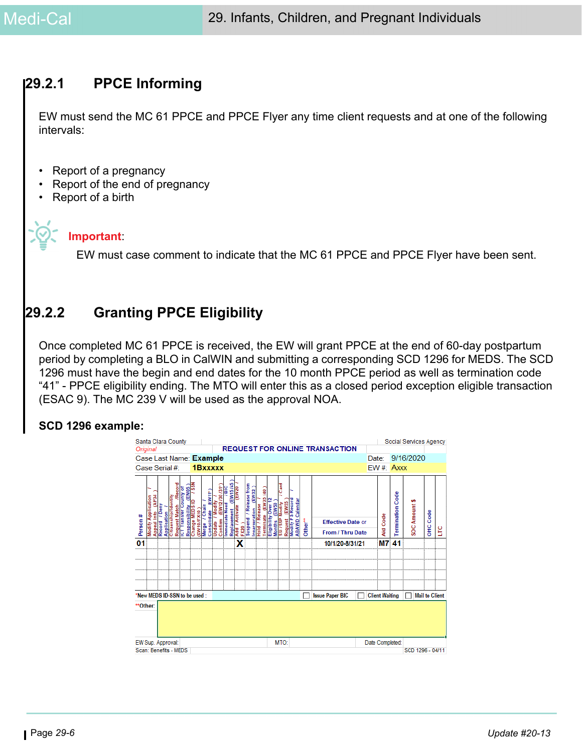## **29.2.1 PPCE Informing**

EW must send the MC 61 PPCE and PPCE Flyer any time client requests and at one of the following intervals:

- Report of a pregnancy
- Report of the end of pregnancy
- Report of a birth

#### **Important**:

EW must case comment to indicate that the MC 61 PPCE and PPCE Flyer have been sent.

## **29.2.2 Granting PPCE Eligibility**

Once completed MC 61 PPCE is received, the EW will grant PPCE at the end of 60-day postpartum period by completing a BLO in CalWIN and submitting a corresponding SCD 1296 for MEDS. The SCD 1296 must have the begin and end dates for the 10 month PPCE period as well as termination code "41" - PPCE eligibility ending. The MTO will enter this as a closed period exception eligible transaction (ESAC 9). The MC 239 V will be used as the approval NOA.

#### **SCD 1296 example:**

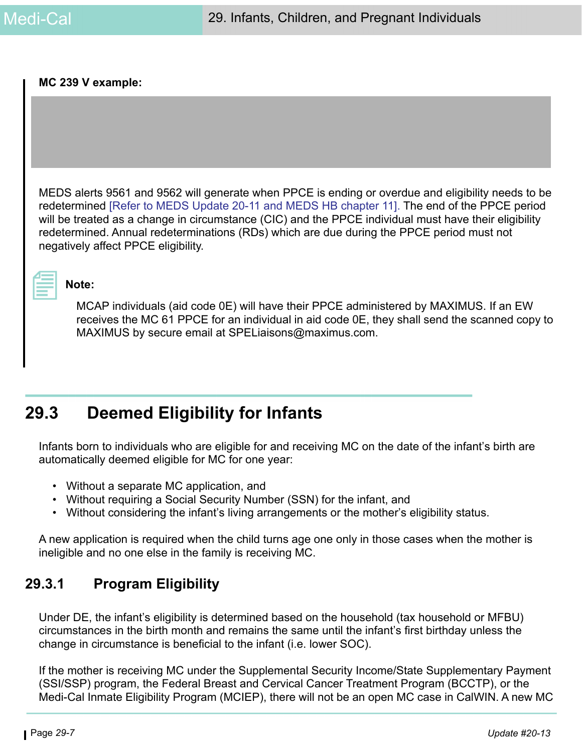#### **MC 239 V example:**

MEDS alerts 9561 and 9562 will generate when PPCE is ending or overdue and eligibility needs to be redetermined [\[Refer to MEDS Update 20-11 and](https://ssaconnect.sccgov.org/ssa_departments/debs_program/Pages/meds_updates.aspx) [MEDS HB chapter 11\].](https://ssaconnect.sccgov.org/ssa_departments/debs_program/Documents/handbooks/ugss/ugchap11.pdf) The end of the PPCE period will be treated as a change in circumstance (CIC) and the PPCE individual must have their eligibility redetermined. Annual redeterminations (RDs) which are due during the PPCE period must not negatively affect PPCE eligibility.

#### **Note:**

MCAP individuals (aid code 0E) will have their PPCE administered by MAXIMUS. If an EW receives the MC 61 PPCE for an individual in aid code 0E, they shall send the scanned copy to MAXIMUS by secure email at SPELiaisons@maximus.com.

# **29.3 Deemed Eligibility for Infants**

Infants born to individuals who are eligible for and receiving MC on the date of the infant's birth are automatically deemed eligible for MC for one year:

- Without a separate MC application, and
- Without requiring a Social Security Number (SSN) for the infant, and
- Without considering the infant's living arrangements or the mother's eligibility status.

A new application is required when the child turns age one only in those cases when the mother is ineligible and no one else in the family is receiving MC.

## **29.3.1 Program Eligibility**

Under DE, the infant's eligibility is determined based on the household (tax household or MFBU) circumstances in the birth month and remains the same until the infant's first birthday unless the change in circumstance is beneficial to the infant (i.e. lower SOC).

If the mother is receiving MC under the Supplemental Security Income/State Supplementary Payment (SSI/SSP) program, the Federal Breast and Cervical Cancer Treatment Program (BCCTP), or the Medi-Cal Inmate Eligibility Program (MCIEP), there will not be an open MC case in CalWIN. A new MC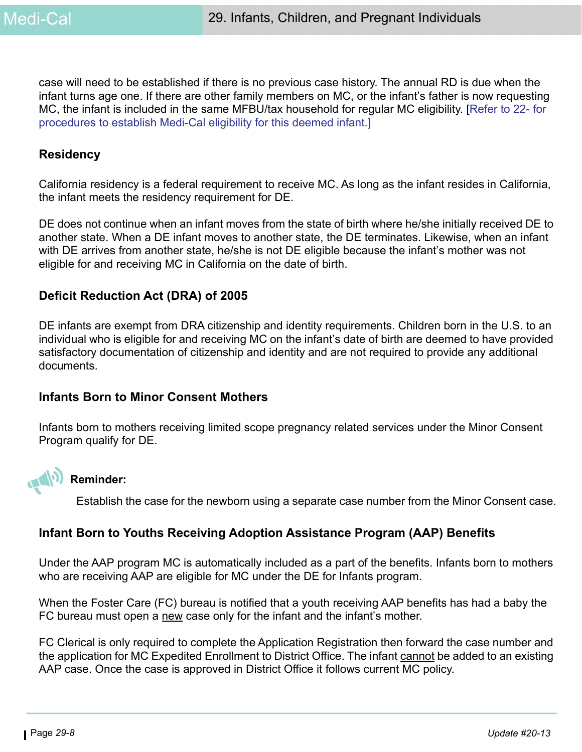case will need to be established if there is no previous case history. The annual RD is due when the infant turns age one. If there are other family members on MC, or the infant's father is now requesting MC, the infant is included in the same MFBU/tax household for regular MC eligibility. [Refer to 22- for procedures to establish Medi-Cal eligibility for this deemed infant.]

#### **Residency**

California residency is a federal requirement to receive MC. As long as the infant resides in California, the infant meets the residency requirement for DE.

DE does not continue when an infant moves from the state of birth where he/she initially received DE to another state. When a DE infant moves to another state, the DE terminates. Likewise, when an infant with DE arrives from another state, he/she is not DE eligible because the infant's mother was not eligible for and receiving MC in California on the date of birth.

#### **Deficit Reduction Act (DRA) of 2005**

DE infants are exempt from DRA citizenship and identity requirements. Children born in the U.S. to an individual who is eligible for and receiving MC on the infant's date of birth are deemed to have provided satisfactory documentation of citizenship and identity and are not required to provide any additional documents.

#### **Infants Born to Minor Consent Mothers**

Infants born to mothers receiving limited scope pregnancy related services under the Minor Consent Program qualify for DE.



#### **Reminder:**

Establish the case for the newborn using a separate case number from the Minor Consent case.

#### **Infant Born to Youths Receiving Adoption Assistance Program (AAP) Benefits**

Under the AAP program MC is automatically included as a part of the benefits. Infants born to mothers who are receiving AAP are eligible for MC under the DE for Infants program.

When the Foster Care (FC) bureau is notified that a youth receiving AAP benefits has had a baby the FC bureau must open a new case only for the infant and the infant's mother.

FC Clerical is only required to complete the Application Registration then forward the case number and the application for MC Expedited Enrollment to District Office. The infant cannot be added to an existing AAP case. Once the case is approved in District Office it follows current MC policy.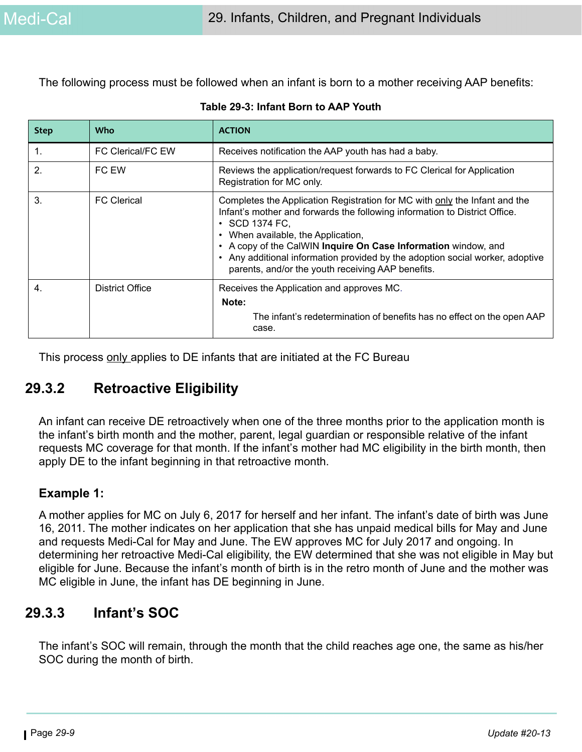The following process must be followed when an infant is born to a mother receiving AAP benefits:

| <b>Step</b>    | <b>Who</b>               | <b>ACTION</b>                                                                                                                                                                                                                                                                                                                                                                                                                   |
|----------------|--------------------------|---------------------------------------------------------------------------------------------------------------------------------------------------------------------------------------------------------------------------------------------------------------------------------------------------------------------------------------------------------------------------------------------------------------------------------|
| 1.             | <b>FC Clerical/FC EW</b> | Receives notification the AAP youth has had a baby.                                                                                                                                                                                                                                                                                                                                                                             |
| $\overline{2}$ | FC EW                    | Reviews the application/request forwards to FC Clerical for Application<br>Registration for MC only.                                                                                                                                                                                                                                                                                                                            |
| 3.             | <b>FC</b> Clerical       | Completes the Application Registration for MC with only the Infant and the<br>Infant's mother and forwards the following information to District Office.<br>• SCD 1374 FC,<br>When available, the Application,<br>$\bullet$<br>A copy of the CalWIN Inquire On Case Information window, and<br>Any additional information provided by the adoption social worker, adoptive<br>parents, and/or the youth receiving AAP benefits. |
| 4.             | <b>District Office</b>   | Receives the Application and approves MC.<br>Note:<br>The infant's redetermination of benefits has no effect on the open AAP<br>case.                                                                                                                                                                                                                                                                                           |

| Table 29-3: Infant Born to AAP Youth |
|--------------------------------------|
|--------------------------------------|

This process only applies to DE infants that are initiated at the FC Bureau

## **29.3.2 Retroactive Eligibility**

An infant can receive DE retroactively when one of the three months prior to the application month is the infant's birth month and the mother, parent, legal guardian or responsible relative of the infant requests MC coverage for that month. If the infant's mother had MC eligibility in the birth month, then apply DE to the infant beginning in that retroactive month.

#### **Example 1:**

A mother applies for MC on July 6, 2017 for herself and her infant. The infant's date of birth was June 16, 2011. The mother indicates on her application that she has unpaid medical bills for May and June and requests Medi-Cal for May and June. The EW approves MC for July 2017 and ongoing. In determining her retroactive Medi-Cal eligibility, the EW determined that she was not eligible in May but eligible for June. Because the infant's month of birth is in the retro month of June and the mother was MC eligible in June, the infant has DE beginning in June.

## **29.3.3 Infant's SOC**

The infant's SOC will remain, through the month that the child reaches age one, the same as his/her SOC during the month of birth.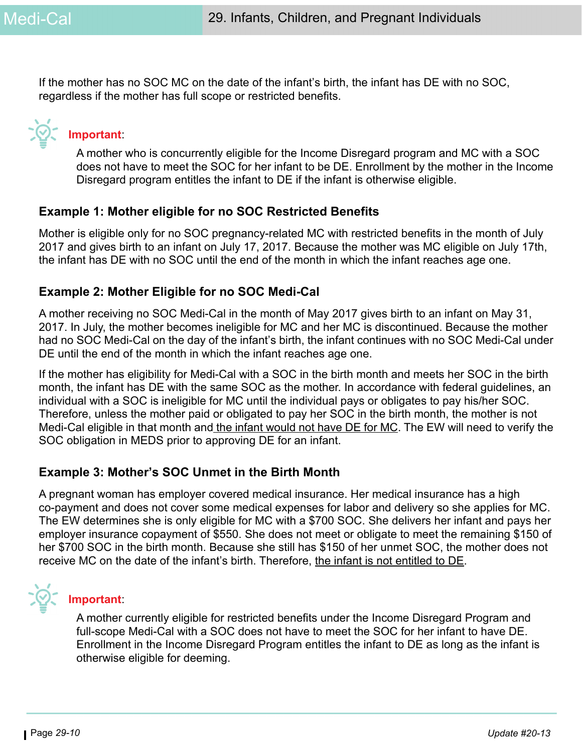If the mother has no SOC MC on the date of the infant's birth, the infant has DE with no SOC, regardless if the mother has full scope or restricted benefits.

# **Important**:

A mother who is concurrently eligible for the Income Disregard program and MC with a SOC does not have to meet the SOC for her infant to be DE. Enrollment by the mother in the Income Disregard program entitles the infant to DE if the infant is otherwise eligible.

#### **Example 1: Mother eligible for no SOC Restricted Benefits**

Mother is eligible only for no SOC pregnancy-related MC with restricted benefits in the month of July 2017 and gives birth to an infant on July 17, 2017. Because the mother was MC eligible on July 17th, the infant has DE with no SOC until the end of the month in which the infant reaches age one.

#### **Example 2: Mother Eligible for no SOC Medi-Cal**

A mother receiving no SOC Medi-Cal in the month of May 2017 gives birth to an infant on May 31, 2017. In July, the mother becomes ineligible for MC and her MC is discontinued. Because the mother had no SOC Medi-Cal on the day of the infant's birth, the infant continues with no SOC Medi-Cal under DE until the end of the month in which the infant reaches age one.

If the mother has eligibility for Medi-Cal with a SOC in the birth month and meets her SOC in the birth month, the infant has DE with the same SOC as the mother. In accordance with federal guidelines, an individual with a SOC is ineligible for MC until the individual pays or obligates to pay his/her SOC. Therefore, unless the mother paid or obligated to pay her SOC in the birth month, the mother is not Medi-Cal eligible in that month and the infant would not have DE for MC. The EW will need to verify the SOC obligation in MEDS prior to approving DE for an infant.

#### **Example 3: Mother's SOC Unmet in the Birth Month**

A pregnant woman has employer covered medical insurance. Her medical insurance has a high co-payment and does not cover some medical expenses for labor and delivery so she applies for MC. The EW determines she is only eligible for MC with a \$700 SOC. She delivers her infant and pays her employer insurance copayment of \$550. She does not meet or obligate to meet the remaining \$150 of her \$700 SOC in the birth month. Because she still has \$150 of her unmet SOC, the mother does not receive MC on the date of the infant's birth. Therefore, the infant is not entitled to DE.



#### **Important**:

A mother currently eligible for restricted benefits under the Income Disregard Program and full-scope Medi-Cal with a SOC does not have to meet the SOC for her infant to have DE. Enrollment in the Income Disregard Program entitles the infant to DE as long as the infant is otherwise eligible for deeming.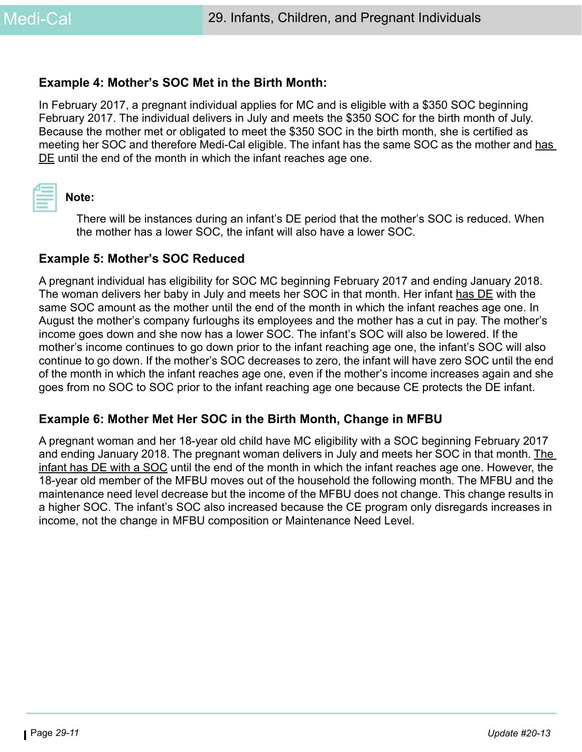#### **Example 4: Mother's SOC Met in the Birth Month:**

In February 2017, a pregnant individual applies for MC and is eligible with a \$350 SOC beginning February 2017. The individual delivers in July and meets the \$350 SOC for the birth month of July. Because the mother met or obligated to meet the \$350 SOC in the birth month, she is certified as meeting her SOC and therefore Medi-Cal eligible. The infant has the same SOC as the mother and has DE until the end of the month in which the infant reaches age one.



#### **Note:**

There will be instances during an infant's DE period that the mother's SOC is reduced. When the mother has a lower SOC, the infant will also have a lower SOC.

#### **Example 5: Mother's SOC Reduced**

A pregnant individual has eligibility for SOC MC beginning February 2017 and ending January 2018. The woman delivers her baby in July and meets her SOC in that month. Her infant has DE with the same SOC amount as the mother until the end of the month in which the infant reaches age one. In August the mother's company furloughs its employees and the mother has a cut in pay. The mother's income goes down and she now has a lower SOC. The infant's SOC will also be lowered. If the mother's income continues to go down prior to the infant reaching age one, the infant's SOC will also continue to go down. If the mother's SOC decreases to zero, the infant will have zero SOC until the end of the month in which the infant reaches age one, even if the mother's income increases again and she goes from no SOC to SOC prior to the infant reaching age one because CE protects the DE infant.

#### **Example 6: Mother Met Her SOC in the Birth Month, Change in MFBU**

A pregnant woman and her 18-year old child have MC eligibility with a SOC beginning February 2017 and ending January 2018. The pregnant woman delivers in July and meets her SOC in that month. The infant has DE with a SOC until the end of the month in which the infant reaches age one. However, the 18-year old member of the MFBU moves out of the household the following month. The MFBU and the maintenance need level decrease but the income of the MFBU does not change. This change results in a higher SOC. The infant's SOC also increased because the CE program only disregards increases in income, not the change in MFBU composition or Maintenance Need Level.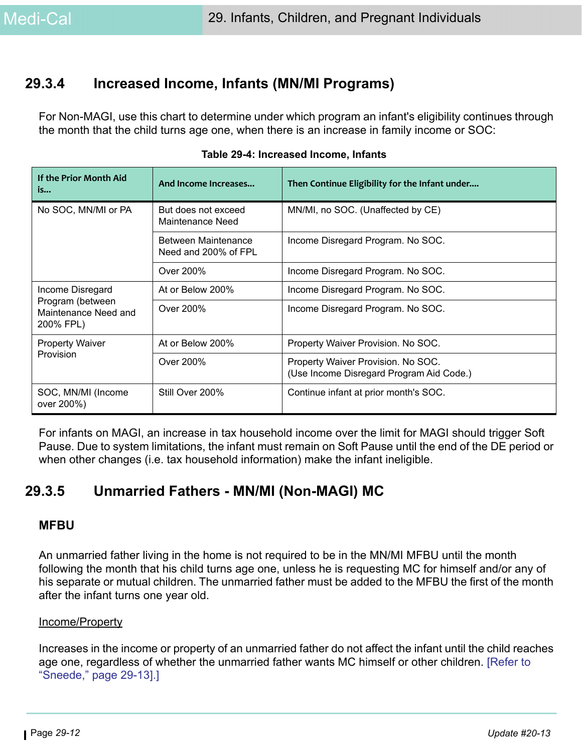## **29.3.4 Increased Income, Infants (MN/MI Programs)**

For Non-MAGI, use this chart to determine under which program an infant's eligibility continues through the month that the child turns age one, when there is an increase in family income or SOC:

| If the Prior Month Aid<br>is                                              | And Income Increases                        | Then Continue Eligibility for the Infant under                                 |  |
|---------------------------------------------------------------------------|---------------------------------------------|--------------------------------------------------------------------------------|--|
| No SOC, MN/MI or PA                                                       | But does not exceed<br>Maintenance Need     | MN/MI, no SOC. (Unaffected by CE)                                              |  |
|                                                                           | Between Maintenance<br>Need and 200% of FPL | Income Disregard Program. No SOC.                                              |  |
|                                                                           | Over 200%                                   | Income Disregard Program. No SOC.                                              |  |
| Income Disregard<br>Program (between<br>Maintenance Need and<br>200% FPL) | At or Below 200%                            | Income Disregard Program. No SOC.                                              |  |
|                                                                           | Over 200%                                   | Income Disregard Program. No SOC.                                              |  |
| <b>Property Waiver</b>                                                    | At or Below 200%                            | Property Waiver Provision. No SOC.                                             |  |
| Provision                                                                 | Over 200%                                   | Property Waiver Provision. No SOC.<br>(Use Income Disregard Program Aid Code.) |  |
| SOC, MN/MI (Income<br>over 200%)                                          | Still Over 200%                             | Continue infant at prior month's SOC.                                          |  |

|  |  |  | Table 29-4: Increased Income, Infants |
|--|--|--|---------------------------------------|
|--|--|--|---------------------------------------|

For infants on MAGI, an increase in tax household income over the limit for MAGI should trigger Soft Pause. Due to system limitations, the infant must remain on Soft Pause until the end of the DE period or when other changes (i.e. tax household information) make the infant ineligible.

## **29.3.5 Unmarried Fathers - MN/MI (Non-MAGI) MC**

#### **MFBU**

An unmarried father living in the home is not required to be in the MN/MI MFBU until the month following the month that his child turns age one, unless he is requesting MC for himself and/or any of his separate or mutual children. The unmarried father must be added to the MFBU the first of the month after the infant turns one year old.

#### Income/Property

Increases in the income or property of an unmarried father do not affect the infant until the child reaches age one, regardless of whether the unmarried father wants MC himself or other children. [\[Refer to](#page-12-0)  ["Sneede," page 29-13\].](#page-12-0)]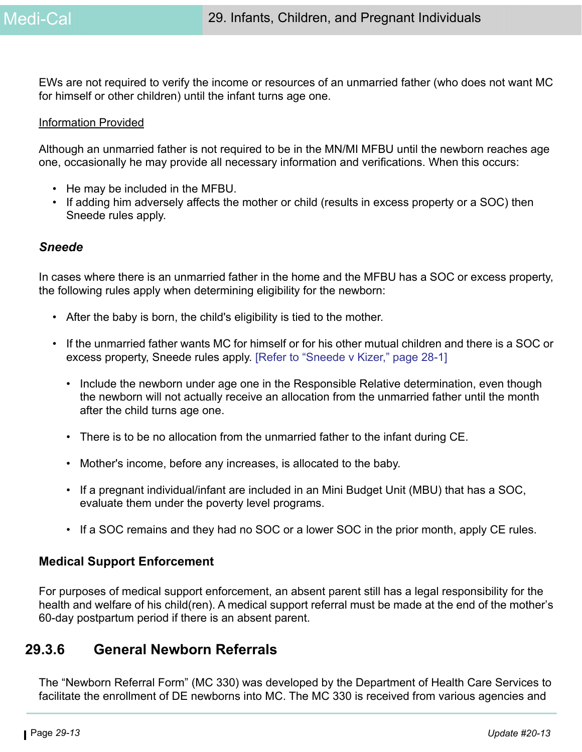EWs are not required to verify the income or resources of an unmarried father (who does not want MC for himself or other children) until the infant turns age one.

#### Information Provided

Although an unmarried father is not required to be in the MN/MI MFBU until the newborn reaches age one, occasionally he may provide all necessary information and verifications. When this occurs:

- He may be included in the MFBU.
- If adding him adversely affects the mother or child (results in excess property or a SOC) then Sneede rules apply.

#### <span id="page-12-0"></span>*Sneede*

In cases where there is an unmarried father in the home and the MFBU has a SOC or excess property, the following rules apply when determining eligibility for the newborn:

- After the baby is born, the child's eligibility is tied to the mother.
- If the unmarried father wants MC for himself or for his other mutual children and there is a SOC or excess property, Sneede rules apply. [\[Refer to "Sneede v Kizer," page 28-1\]](#page-0-0)
	- Include the newborn under age one in the Responsible Relative determination, even though the newborn will not actually receive an allocation from the unmarried father until the month after the child turns age one.
	- There is to be no allocation from the unmarried father to the infant during CE.
	- Mother's income, before any increases, is allocated to the baby.
	- If a pregnant individual/infant are included in an Mini Budget Unit (MBU) that has a SOC, evaluate them under the poverty level programs.
	- If a SOC remains and they had no SOC or a lower SOC in the prior month, apply CE rules.

#### **Medical Support Enforcement**

For purposes of medical support enforcement, an absent parent still has a legal responsibility for the health and welfare of his child(ren). A medical support referral must be made at the end of the mother's 60-day postpartum period if there is an absent parent.

## **29.3.6 General Newborn Referrals**

The "Newborn Referral Form" (MC 330) was developed by the Department of Health Care Services to facilitate the enrollment of DE newborns into MC. The MC 330 is received from various agencies and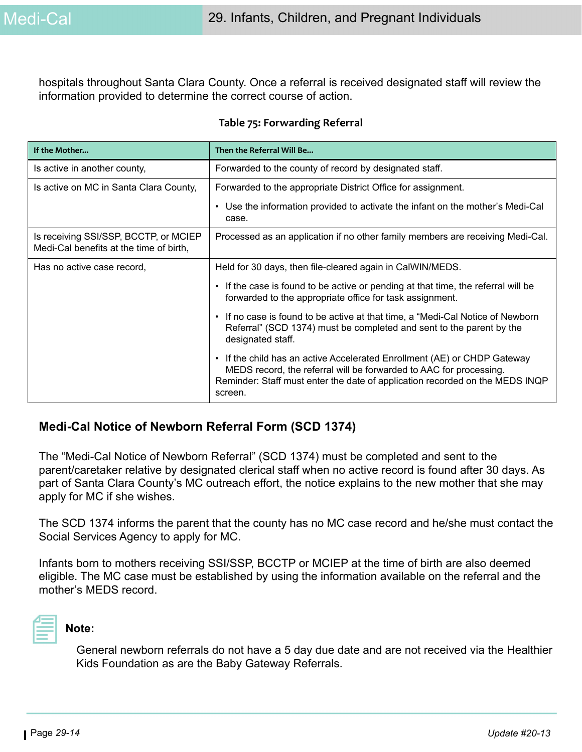hospitals throughout Santa Clara County. Once a referral is received designated staff will review the information provided to determine the correct course of action.

#### **Table 75: Forwarding Referral**

| If the Mother                                                                    | Then the Referral Will Be                                                                                                                                                                                                               |
|----------------------------------------------------------------------------------|-----------------------------------------------------------------------------------------------------------------------------------------------------------------------------------------------------------------------------------------|
| Is active in another county,                                                     | Forwarded to the county of record by designated staff.                                                                                                                                                                                  |
| Is active on MC in Santa Clara County,                                           | Forwarded to the appropriate District Office for assignment.                                                                                                                                                                            |
|                                                                                  | Use the information provided to activate the infant on the mother's Medi-Cal<br>٠<br>case.                                                                                                                                              |
| Is receiving SSI/SSP, BCCTP, or MCIEP<br>Medi-Cal benefits at the time of birth, | Processed as an application if no other family members are receiving Medi-Cal.                                                                                                                                                          |
| Has no active case record,                                                       | Held for 30 days, then file-cleared again in CalWIN/MEDS.                                                                                                                                                                               |
|                                                                                  | If the case is found to be active or pending at that time, the referral will be<br>forwarded to the appropriate office for task assignment.                                                                                             |
|                                                                                  | If no case is found to be active at that time, a "Medi-Cal Notice of Newborn<br>Referral" (SCD 1374) must be completed and sent to the parent by the<br>designated staff.                                                               |
|                                                                                  | If the child has an active Accelerated Enrollment (AE) or CHDP Gateway<br>MEDS record, the referral will be forwarded to AAC for processing.<br>Reminder: Staff must enter the date of application recorded on the MEDS INQP<br>screen. |

#### **Medi-Cal Notice of Newborn Referral Form (SCD 1374)**

The "Medi-Cal Notice of Newborn Referral" (SCD 1374) must be completed and sent to the parent/caretaker relative by designated clerical staff when no active record is found after 30 days. As part of Santa Clara County's MC outreach effort, the notice explains to the new mother that she may apply for MC if she wishes.

The SCD 1374 informs the parent that the county has no MC case record and he/she must contact the Social Services Agency to apply for MC.

Infants born to mothers receiving SSI/SSP, BCCTP or MCIEP at the time of birth are also deemed eligible. The MC case must be established by using the information available on the referral and the mother's MEDS record.



#### **Note:**

General newborn referrals do not have a 5 day due date and are not received via the Healthier Kids Foundation as are the Baby Gateway Referrals.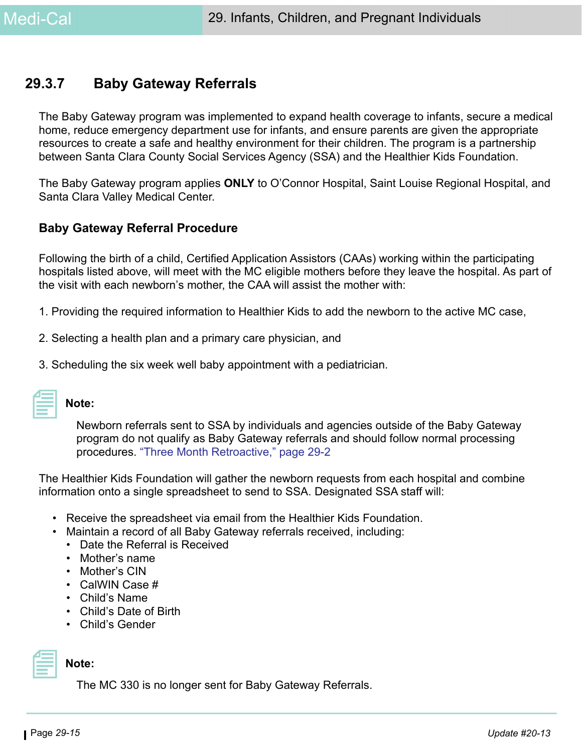## **29.3.7 Baby Gateway Referrals**

The Baby Gateway program was implemented to expand health coverage to infants, secure a medical home, reduce emergency department use for infants, and ensure parents are given the appropriate resources to create a safe and healthy environment for their children. The program is a partnership between Santa Clara County Social Services Agency (SSA) and the Healthier Kids Foundation.

The Baby Gateway program applies **ONLY** to O'Connor Hospital, Saint Louise Regional Hospital, and Santa Clara Valley Medical Center.

#### **Baby Gateway Referral Procedure**

Following the birth of a child, Certified Application Assistors (CAAs) working within the participating hospitals listed above, will meet with the MC eligible mothers before they leave the hospital. As part of the visit with each newborn's mother, the CAA will assist the mother with:

- 1. Providing the required information to Healthier Kids to add the newborn to the active MC case,
- 2. Selecting a health plan and a primary care physician, and
- 3. Scheduling the six week well baby appointment with a pediatrician.

| 2009년 - 대한민국의 대한민국의 대한민국의 대한민국의 대한민국의 대한민국의 대한민국의 대한민국의 대한민국의 대한민국의 대한민국의 대한민국의 대한민국의 대한민국의 대한민국의 대한민국의 대한민국의 |  |
|---------------------------------------------------------------------------------------------------------------|--|
|                                                                                                               |  |
|                                                                                                               |  |
|                                                                                                               |  |
|                                                                                                               |  |
|                                                                                                               |  |
|                                                                                                               |  |
|                                                                                                               |  |
|                                                                                                               |  |
|                                                                                                               |  |
|                                                                                                               |  |

#### **Note:**

Newborn referrals sent to SSA by individuals and agencies outside of the Baby Gateway program do not qualify as Baby Gateway referrals and should follow normal processing procedures. ["Three Month Retroactive," page 29-2](#page-1-0)

The Healthier Kids Foundation will gather the newborn requests from each hospital and combine information onto a single spreadsheet to send to SSA. Designated SSA staff will:

- Receive the spreadsheet via email from the Healthier Kids Foundation.
- Maintain a record of all Baby Gateway referrals received, including:
	- Date the Referral is Received
	- Mother's name
	- Mother's CIN
	- CalWIN Case #
	- Child's Name
	- Child's Date of Birth
	- Child's Gender

# **Note:**

The MC 330 is no longer sent for Baby Gateway Referrals.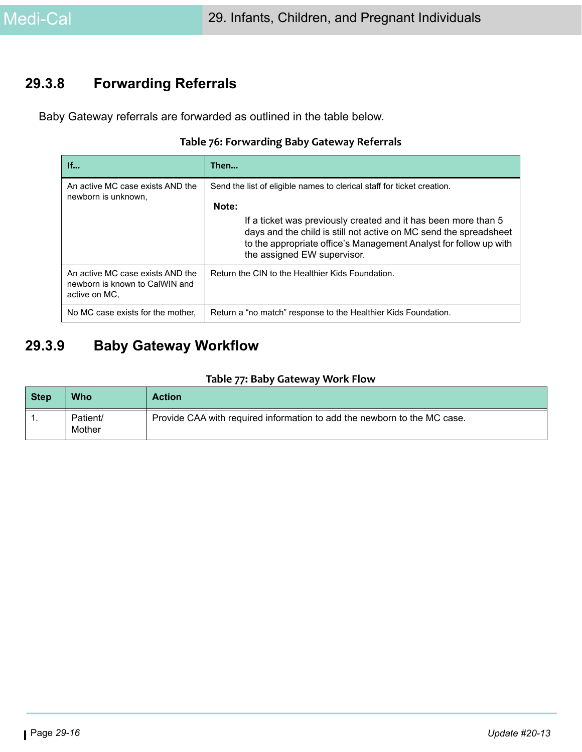## **29.3.8 Forwarding Referrals**

Baby Gateway referrals are forwarded as outlined in the table below.

#### **Table 76: Forwarding Baby Gateway Referrals**

| If                                                                                  | Then                                                                                                                                                                                                                                                                                                                       |
|-------------------------------------------------------------------------------------|----------------------------------------------------------------------------------------------------------------------------------------------------------------------------------------------------------------------------------------------------------------------------------------------------------------------------|
| An active MC case exists AND the<br>newborn is unknown,                             | Send the list of eligible names to clerical staff for ticket creation.<br>Note:<br>If a ticket was previously created and it has been more than 5<br>days and the child is still not active on MC send the spreadsheet<br>to the appropriate office's Management Analyst for follow up with<br>the assigned EW supervisor. |
| An active MC case exists AND the<br>newborn is known to CalWIN and<br>active on MC. | Return the CIN to the Healthier Kids Foundation.                                                                                                                                                                                                                                                                           |
| No MC case exists for the mother,                                                   | Return a "no match" response to the Healthier Kids Foundation.                                                                                                                                                                                                                                                             |

## **29.3.9 Baby Gateway Workflow**

#### **Table 77: Baby Gateway Work Flow**

| <b>Step</b> | Who                | <b>Action</b>                                                            |
|-------------|--------------------|--------------------------------------------------------------------------|
|             | Patient/<br>Mother | Provide CAA with required information to add the newborn to the MC case. |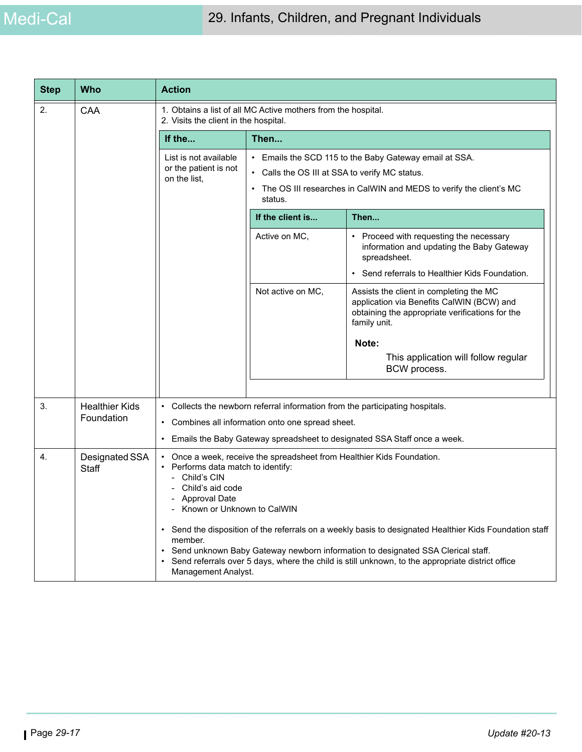| <b>Step</b> | <b>Who</b>                     | <b>Action</b>                                                                                                                                                                                                                                                                                                                                                                                                                                                                                                   |                                                           |                                                                                                                                                         |  |
|-------------|--------------------------------|-----------------------------------------------------------------------------------------------------------------------------------------------------------------------------------------------------------------------------------------------------------------------------------------------------------------------------------------------------------------------------------------------------------------------------------------------------------------------------------------------------------------|-----------------------------------------------------------|---------------------------------------------------------------------------------------------------------------------------------------------------------|--|
| 2.          | CAA                            | 1. Obtains a list of all MC Active mothers from the hospital.<br>2. Visits the client in the hospital.                                                                                                                                                                                                                                                                                                                                                                                                          |                                                           |                                                                                                                                                         |  |
|             |                                | If the                                                                                                                                                                                                                                                                                                                                                                                                                                                                                                          | Then                                                      |                                                                                                                                                         |  |
|             |                                | List is not available                                                                                                                                                                                                                                                                                                                                                                                                                                                                                           | Emails the SCD 115 to the Baby Gateway email at SSA.      |                                                                                                                                                         |  |
|             |                                | or the patient is not<br>on the list,                                                                                                                                                                                                                                                                                                                                                                                                                                                                           | Calls the OS III at SSA to verify MC status.<br>$\bullet$ |                                                                                                                                                         |  |
|             |                                |                                                                                                                                                                                                                                                                                                                                                                                                                                                                                                                 | status.                                                   | The OS III researches in CalWIN and MEDS to verify the client's MC                                                                                      |  |
|             |                                |                                                                                                                                                                                                                                                                                                                                                                                                                                                                                                                 | If the client is                                          | Then                                                                                                                                                    |  |
|             |                                |                                                                                                                                                                                                                                                                                                                                                                                                                                                                                                                 | Active on MC,                                             | Proceed with requesting the necessary<br>information and updating the Baby Gateway<br>spreadsheet.                                                      |  |
|             |                                |                                                                                                                                                                                                                                                                                                                                                                                                                                                                                                                 |                                                           | Send referrals to Healthier Kids Foundation.<br>$\bullet$                                                                                               |  |
|             |                                |                                                                                                                                                                                                                                                                                                                                                                                                                                                                                                                 | Not active on MC,                                         | Assists the client in completing the MC<br>application via Benefits CalWIN (BCW) and<br>obtaining the appropriate verifications for the<br>family unit. |  |
|             |                                |                                                                                                                                                                                                                                                                                                                                                                                                                                                                                                                 |                                                           | Note:                                                                                                                                                   |  |
|             |                                |                                                                                                                                                                                                                                                                                                                                                                                                                                                                                                                 | This application will follow regular<br>BCW process.      |                                                                                                                                                         |  |
|             |                                |                                                                                                                                                                                                                                                                                                                                                                                                                                                                                                                 |                                                           |                                                                                                                                                         |  |
| 3.          | <b>Healthier Kids</b>          | • Collects the newborn referral information from the participating hospitals.<br>• Combines all information onto one spread sheet.                                                                                                                                                                                                                                                                                                                                                                              |                                                           |                                                                                                                                                         |  |
|             | Foundation                     |                                                                                                                                                                                                                                                                                                                                                                                                                                                                                                                 |                                                           |                                                                                                                                                         |  |
|             |                                | Emails the Baby Gateway spreadsheet to designated SSA Staff once a week.<br>$\bullet$                                                                                                                                                                                                                                                                                                                                                                                                                           |                                                           |                                                                                                                                                         |  |
| 4.          | Designated SSA<br><b>Staff</b> | • Once a week, receive the spreadsheet from Healthier Kids Foundation.<br>• Performs data match to identify:<br>Child's CIN<br>Child's aid code<br>- Approval Date<br>- Known or Unknown to CalWIN<br>• Send the disposition of the referrals on a weekly basis to designated Healthier Kids Foundation staff<br>member.<br>Send unknown Baby Gateway newborn information to designated SSA Clerical staff.<br>Send referrals over 5 days, where the child is still unknown, to the appropriate district office |                                                           |                                                                                                                                                         |  |
|             |                                | Management Analyst.                                                                                                                                                                                                                                                                                                                                                                                                                                                                                             |                                                           |                                                                                                                                                         |  |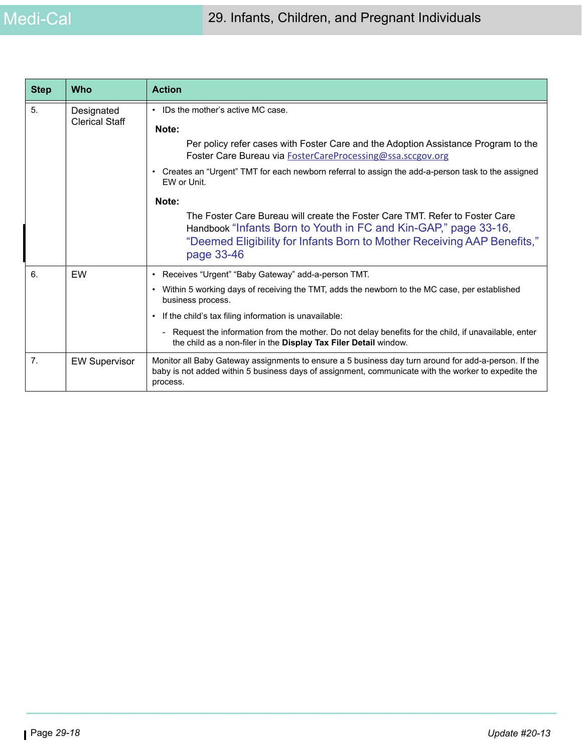| <b>Step</b>    | <b>Who</b>                          | <b>Action</b>                                                                                                                                                                                                                            |
|----------------|-------------------------------------|------------------------------------------------------------------------------------------------------------------------------------------------------------------------------------------------------------------------------------------|
| 5.             | Designated<br><b>Clerical Staff</b> | IDs the mother's active MC case.<br>Note:                                                                                                                                                                                                |
|                |                                     | Per policy refer cases with Foster Care and the Adoption Assistance Program to the<br>Foster Care Bureau via FosterCareProcessing@ssa.sccgov.org                                                                                         |
|                |                                     | Creates an "Urgent" TMT for each newborn referral to assign the add-a-person task to the assigned<br>EW or Unit.                                                                                                                         |
|                |                                     | Note:                                                                                                                                                                                                                                    |
|                |                                     | The Foster Care Bureau will create the Foster Care TMT. Refer to Foster Care<br>Handbook "Infants Born to Youth in FC and Kin-GAP," page 33-16,<br>"Deemed Eligibility for Infants Born to Mother Receiving AAP Benefits,"<br>page 33-46 |
| 6.             | EW                                  | Receives "Urgent" "Baby Gateway" add-a-person TMT.<br>$\bullet$                                                                                                                                                                          |
|                |                                     | Within 5 working days of receiving the TMT, adds the newborn to the MC case, per established<br>$\bullet$<br>business process.                                                                                                           |
|                |                                     | If the child's tax filing information is unavailable:                                                                                                                                                                                    |
|                |                                     | - Request the information from the mother. Do not delay benefits for the child, if unavailable, enter<br>the child as a non-filer in the Display Tax Filer Detail window.                                                                |
| 7 <sub>1</sub> | <b>EW Supervisor</b>                | Monitor all Baby Gateway assignments to ensure a 5 business day turn around for add-a-person. If the<br>baby is not added within 5 business days of assignment, communicate with the worker to expedite the<br>process.                  |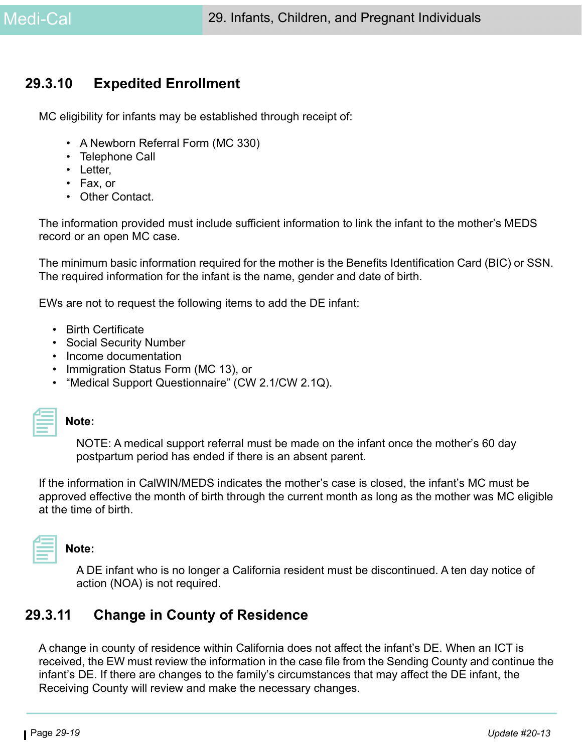## **29.3.10 Expedited Enrollment**

MC eligibility for infants may be established through receipt of:

- A Newborn Referral Form (MC 330)
- Telephone Call
- Letter,
- Fax, or
- Other Contact.

The information provided must include sufficient information to link the infant to the mother's MEDS record or an open MC case.

The minimum basic information required for the mother is the Benefits Identification Card (BIC) or SSN. The required information for the infant is the name, gender and date of birth.

EWs are not to request the following items to add the DE infant:

- Birth Certificate
- Social Security Number
- Income documentation
- Immigration Status Form (MC 13), or
- "Medical Support Questionnaire" (CW 2.1/CW 2.1Q).

**Note:** 

NOTE: A medical support referral must be made on the infant once the mother's 60 day postpartum period has ended if there is an absent parent.

If the information in CalWIN/MEDS indicates the mother's case is closed, the infant's MC must be approved effective the month of birth through the current month as long as the mother was MC eligible at the time of birth.

# **Note:**

A DE infant who is no longer a California resident must be discontinued. A ten day notice of action (NOA) is not required.

## **29.3.11 Change in County of Residence**

A change in county of residence within California does not affect the infant's DE. When an ICT is received, the EW must review the information in the case file from the Sending County and continue the infant's DE. If there are changes to the family's circumstances that may affect the DE infant, the Receiving County will review and make the necessary changes.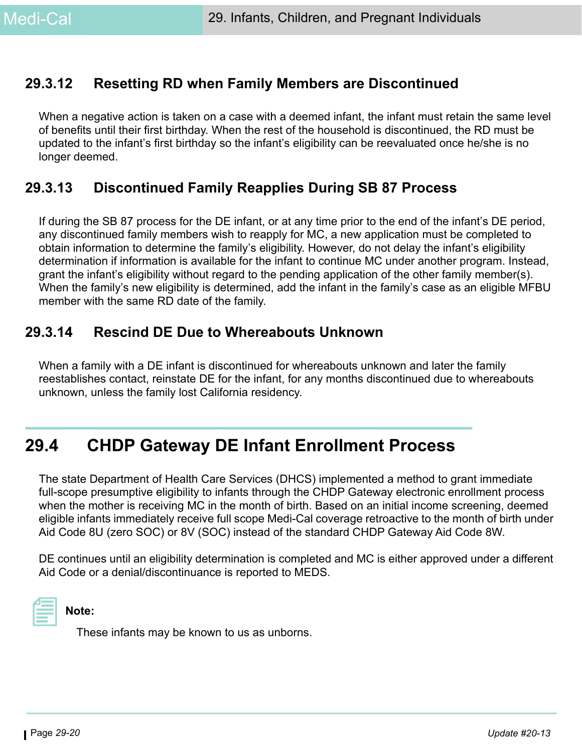## **29.3.12 Resetting RD when Family Members are Discontinued**

When a negative action is taken on a case with a deemed infant, the infant must retain the same level of benefits until their first birthday. When the rest of the household is discontinued, the RD must be updated to the infant's first birthday so the infant's eligibility can be reevaluated once he/she is no longer deemed.

## **29.3.13 Discontinued Family Reapplies During SB 87 Process**

If during the SB 87 process for the DE infant, or at any time prior to the end of the infant's DE period, any discontinued family members wish to reapply for MC, a new application must be completed to obtain information to determine the family's eligibility. However, do not delay the infant's eligibility determination if information is available for the infant to continue MC under another program. Instead, grant the infant's eligibility without regard to the pending application of the other family member(s). When the family's new eligibility is determined, add the infant in the family's case as an eligible MFBU member with the same RD date of the family.

## **29.3.14 Rescind DE Due to Whereabouts Unknown**

When a family with a DE infant is discontinued for whereabouts unknown and later the family reestablishes contact, reinstate DE for the infant, for any months discontinued due to whereabouts unknown, unless the family lost California residency.

# **29.4 CHDP Gateway DE Infant Enrollment Process**

The state Department of Health Care Services (DHCS) implemented a method to grant immediate full-scope presumptive eligibility to infants through the CHDP Gateway electronic enrollment process when the mother is receiving MC in the month of birth. Based on an initial income screening, deemed eligible infants immediately receive full scope Medi-Cal coverage retroactive to the month of birth under Aid Code 8U (zero SOC) or 8V (SOC) instead of the standard CHDP Gateway Aid Code 8W.

DE continues until an eligibility determination is completed and MC is either approved under a different Aid Code or a denial/discontinuance is reported to MEDS.



#### **Note:**

These infants may be known to us as unborns.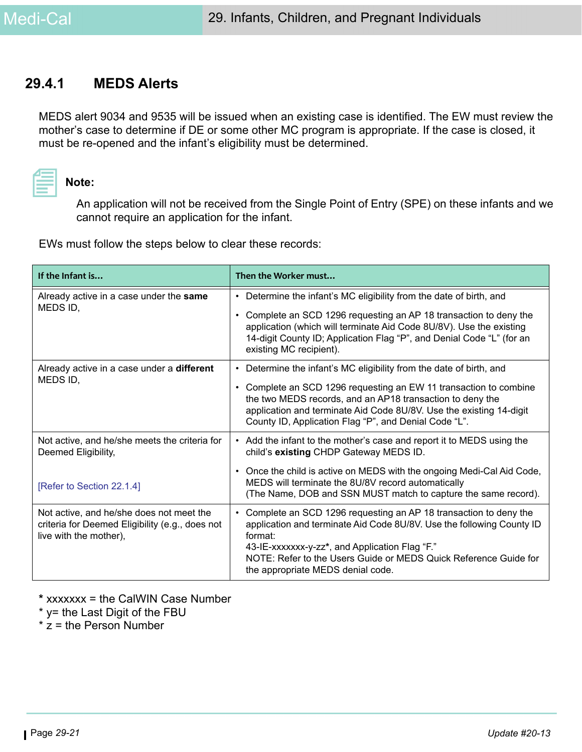## **29.4.1 MEDS Alerts**

MEDS alert 9034 and 9535 will be issued when an existing case is identified. The EW must review the mother's case to determine if DE or some other MC program is appropriate. If the case is closed, it must be re-opened and the infant's eligibility must be determined.



#### **Note:**

An application will not be received from the Single Point of Entry (SPE) on these infants and we cannot require an application for the infant.

EWs must follow the steps below to clear these records:

| If the Infant is                                                                                                      | Then the Worker must                                                                                                                                                                                                                                                                                                         |
|-----------------------------------------------------------------------------------------------------------------------|------------------------------------------------------------------------------------------------------------------------------------------------------------------------------------------------------------------------------------------------------------------------------------------------------------------------------|
| Already active in a case under the same                                                                               | Determine the infant's MC eligibility from the date of birth, and<br>$\bullet$                                                                                                                                                                                                                                               |
| MEDS ID,                                                                                                              | Complete an SCD 1296 requesting an AP 18 transaction to deny the<br>$\bullet$<br>application (which will terminate Aid Code 8U/8V). Use the existing<br>14-digit County ID; Application Flag "P", and Denial Code "L" (for an<br>existing MC recipient).                                                                     |
| Already active in a case under a <b>different</b>                                                                     | Determine the infant's MC eligibility from the date of birth, and<br>$\bullet$                                                                                                                                                                                                                                               |
| MEDS ID,                                                                                                              | Complete an SCD 1296 requesting an EW 11 transaction to combine<br>$\bullet$<br>the two MEDS records, and an AP18 transaction to deny the<br>application and terminate Aid Code 8U/8V. Use the existing 14-digit<br>County ID, Application Flag "P", and Denial Code "L".                                                    |
| Not active, and he/she meets the criteria for<br>Deemed Eligibility,                                                  | • Add the infant to the mother's case and report it to MEDS using the<br>child's existing CHDP Gateway MEDS ID.                                                                                                                                                                                                              |
| [Refer to Section 22.1.4]                                                                                             | Once the child is active on MEDS with the ongoing Medi-Cal Aid Code,<br>$\bullet$<br>MEDS will terminate the 8U/8V record automatically<br>(The Name, DOB and SSN MUST match to capture the same record).                                                                                                                    |
| Not active, and he/she does not meet the<br>criteria for Deemed Eligibility (e.g., does not<br>live with the mother), | Complete an SCD 1296 requesting an AP 18 transaction to deny the<br>$\bullet$<br>application and terminate Aid Code 8U/8V. Use the following County ID<br>format:<br>43-IE-xxxxxxx-y-zz*, and Application Flag "F."<br>NOTE: Refer to the Users Guide or MEDS Quick Reference Guide for<br>the appropriate MEDS denial code. |

**\*** xxxxxxx = the CalWIN Case Number

- \* y= the Last Digit of the FBU
- $*$  z = the Person Number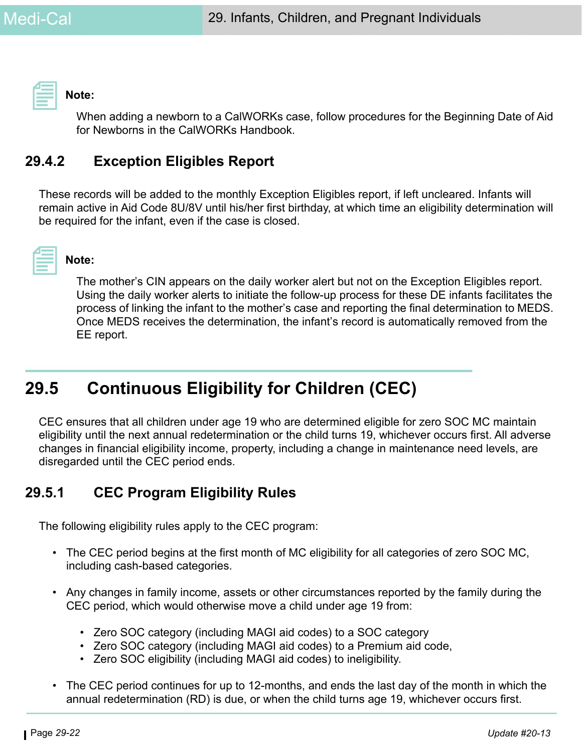**Note:** 

When adding a newborn to a CalWORKs case, follow procedures for the Beginning Date of Aid for Newborns in the CalWORKs Handbook.

## **29.4.2 Exception Eligibles Report**

These records will be added to the monthly Exception Eligibles report, if left uncleared. Infants will remain active in Aid Code 8U/8V until his/her first birthday, at which time an eligibility determination will be required for the infant, even if the case is closed.



**Note:** 

The mother's CIN appears on the daily worker alert but not on the Exception Eligibles report. Using the daily worker alerts to initiate the follow-up process for these DE infants facilitates the process of linking the infant to the mother's case and reporting the final determination to MEDS. Once MEDS receives the determination, the infant's record is automatically removed from the EE report.

# **29.5 Continuous Eligibility for Children (CEC)**

CEC ensures that all children under age 19 who are determined eligible for zero SOC MC maintain eligibility until the next annual redetermination or the child turns 19, whichever occurs first. All adverse changes in financial eligibility income, property, including a change in maintenance need levels, are disregarded until the CEC period ends.

## **29.5.1 CEC Program Eligibility Rules**

The following eligibility rules apply to the CEC program:

- The CEC period begins at the first month of MC eligibility for all categories of zero SOC MC, including cash-based categories.
- Any changes in family income, assets or other circumstances reported by the family during the CEC period, which would otherwise move a child under age 19 from:
	- Zero SOC category (including MAGI aid codes) to a SOC category
	- Zero SOC category (including MAGI aid codes) to a Premium aid code,
	- Zero SOC eligibility (including MAGI aid codes) to ineligibility.
- The CEC period continues for up to 12-months, and ends the last day of the month in which the annual redetermination (RD) is due, or when the child turns age 19, whichever occurs first.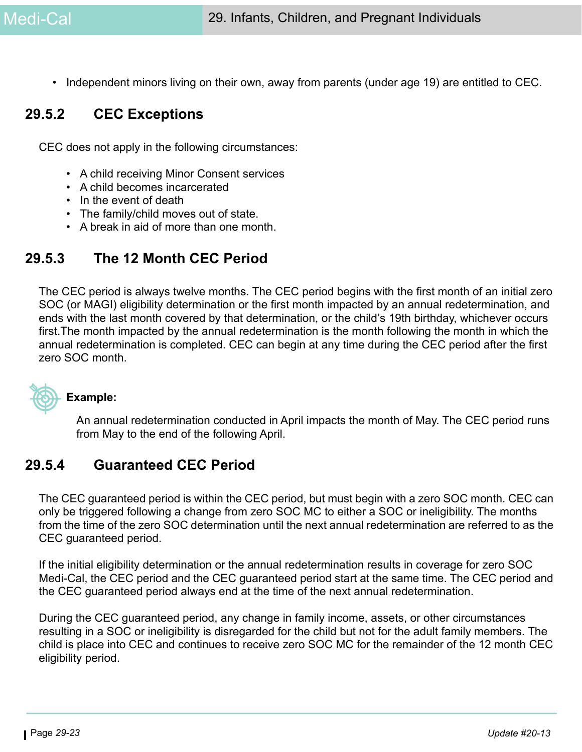• Independent minors living on their own, away from parents (under age 19) are entitled to CEC.

## **29.5.2 CEC Exceptions**

CEC does not apply in the following circumstances:

- A child receiving Minor Consent services
- A child becomes incarcerated
- In the event of death
- The family/child moves out of state.
- A break in aid of more than one month.

## **29.5.3 The 12 Month CEC Period**

The CEC period is always twelve months. The CEC period begins with the first month of an initial zero SOC (or MAGI) eligibility determination or the first month impacted by an annual redetermination, and ends with the last month covered by that determination, or the child's 19th birthday, whichever occurs first.The month impacted by the annual redetermination is the month following the month in which the annual redetermination is completed. CEC can begin at any time during the CEC period after the first zero SOC month.



#### **Example:**

An annual redetermination conducted in April impacts the month of May. The CEC period runs from May to the end of the following April.

## **29.5.4 Guaranteed CEC Period**

The CEC guaranteed period is within the CEC period, but must begin with a zero SOC month. CEC can only be triggered following a change from zero SOC MC to either a SOC or ineligibility. The months from the time of the zero SOC determination until the next annual redetermination are referred to as the CEC guaranteed period.

If the initial eligibility determination or the annual redetermination results in coverage for zero SOC Medi-Cal, the CEC period and the CEC guaranteed period start at the same time. The CEC period and the CEC guaranteed period always end at the time of the next annual redetermination.

During the CEC guaranteed period, any change in family income, assets, or other circumstances resulting in a SOC or ineligibility is disregarded for the child but not for the adult family members. The child is place into CEC and continues to receive zero SOC MC for the remainder of the 12 month CEC eligibility period.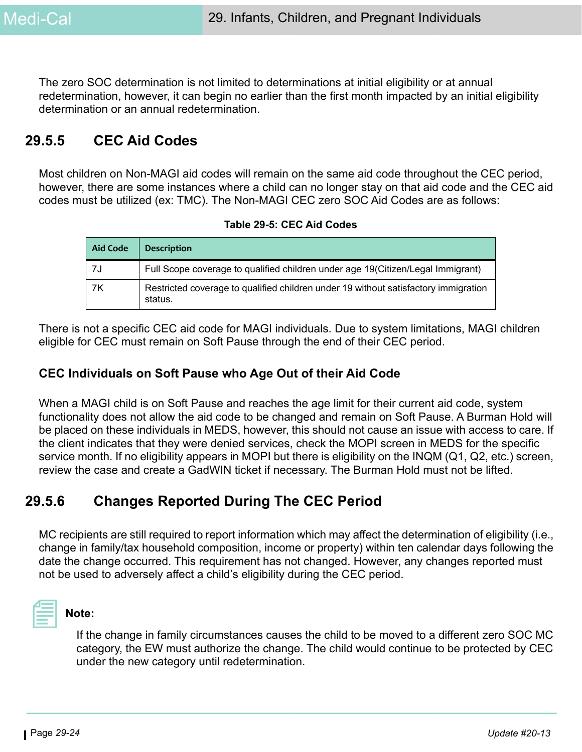The zero SOC determination is not limited to determinations at initial eligibility or at annual redetermination, however, it can begin no earlier than the first month impacted by an initial eligibility determination or an annual redetermination.

## **29.5.5 CEC Aid Codes**

Most children on Non-MAGI aid codes will remain on the same aid code throughout the CEC period, however, there are some instances where a child can no longer stay on that aid code and the CEC aid codes must be utilized (ex: TMC). The Non-MAGI CEC zero SOC Aid Codes are as follows:

| Table 29-5: CEC Aid Codes |  |  |
|---------------------------|--|--|
|---------------------------|--|--|

| <b>Aid Code</b> | <b>Description</b>                                                                             |
|-----------------|------------------------------------------------------------------------------------------------|
| 7J              | Full Scope coverage to qualified children under age 19(Citizen/Legal Immigrant)                |
| 7K              | Restricted coverage to qualified children under 19 without satisfactory immigration<br>status. |

There is not a specific CEC aid code for MAGI individuals. Due to system limitations, MAGI children eligible for CEC must remain on Soft Pause through the end of their CEC period.

#### **CEC Individuals on Soft Pause who Age Out of their Aid Code**

When a MAGI child is on Soft Pause and reaches the age limit for their current aid code, system functionality does not allow the aid code to be changed and remain on Soft Pause. A Burman Hold will be placed on these individuals in MEDS, however, this should not cause an issue with access to care. If the client indicates that they were denied services, check the MOPI screen in MEDS for the specific service month. If no eligibility appears in MOPI but there is eligibility on the INQM (Q1, Q2, etc.) screen, review the case and create a GadWIN ticket if necessary. The Burman Hold must not be lifted.

## **29.5.6 Changes Reported During The CEC Period**

MC recipients are still required to report information which may affect the determination of eligibility (i.e., change in family/tax household composition, income or property) within ten calendar days following the date the change occurred. This requirement has not changed. However, any changes reported must not be used to adversely affect a child's eligibility during the CEC period.



#### **Note:**

If the change in family circumstances causes the child to be moved to a different zero SOC MC category, the EW must authorize the change. The child would continue to be protected by CEC under the new category until redetermination.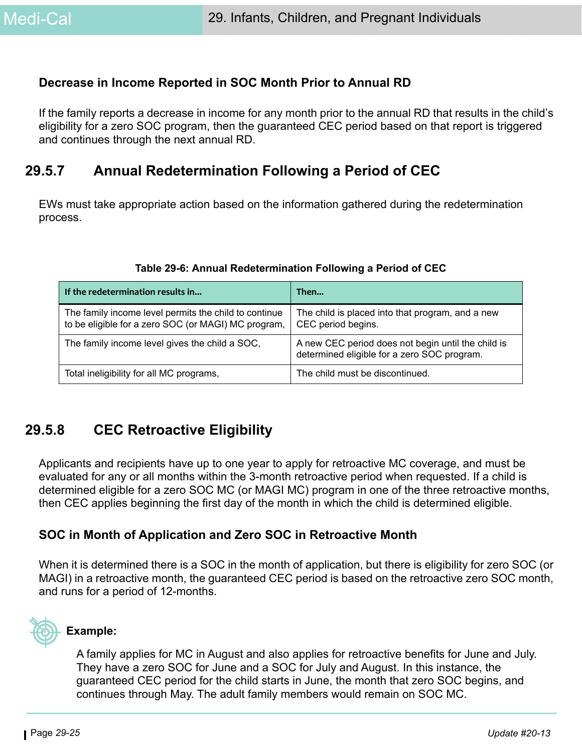#### **Decrease in Income Reported in SOC Month Prior to Annual RD**

If the family reports a decrease in income for any month prior to the annual RD that results in the child's eligibility for a zero SOC program, then the guaranteed CEC period based on that report is triggered and continues through the next annual RD.

## **29.5.7 Annual Redetermination Following a Period of CEC**

EWs must take appropriate action based on the information gathered during the redetermination process.

| If the redetermination results in                                                                            | Then                                                                                              |
|--------------------------------------------------------------------------------------------------------------|---------------------------------------------------------------------------------------------------|
| The family income level permits the child to continue<br>to be eligible for a zero SOC (or MAGI) MC program, | The child is placed into that program, and a new<br>CEC period begins.                            |
| The family income level gives the child a SOC,                                                               | A new CEC period does not begin until the child is<br>determined eligible for a zero SOC program. |
| Total ineligibility for all MC programs,                                                                     | The child must be discontinued.                                                                   |

#### **Table 29-6: Annual Redetermination Following a Period of CEC**

## **29.5.8 CEC Retroactive Eligibility**

Applicants and recipients have up to one year to apply for retroactive MC coverage, and must be evaluated for any or all months within the 3-month retroactive period when requested. If a child is determined eligible for a zero SOC MC (or MAGI MC) program in one of the three retroactive months, then CEC applies beginning the first day of the month in which the child is determined eligible.

#### **SOC in Month of Application and Zero SOC in Retroactive Month**

When it is determined there is a SOC in the month of application, but there is eligibility for zero SOC (or MAGI) in a retroactive month, the guaranteed CEC period is based on the retroactive zero SOC month, and runs for a period of 12-months.



#### **Example:**

A family applies for MC in August and also applies for retroactive benefits for June and July. They have a zero SOC for June and a SOC for July and August. In this instance, the guaranteed CEC period for the child starts in June, the month that zero SOC begins, and continues through May. The adult family members would remain on SOC MC.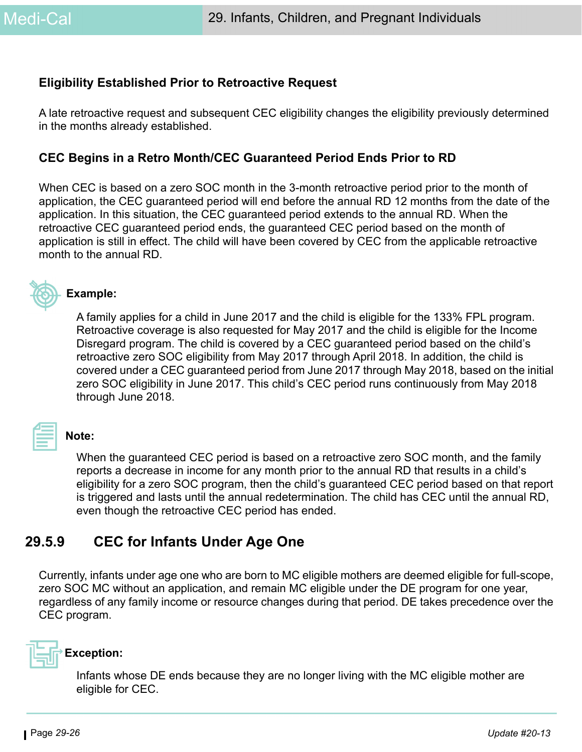#### **Eligibility Established Prior to Retroactive Request**

A late retroactive request and subsequent CEC eligibility changes the eligibility previously determined in the months already established.

#### **CEC Begins in a Retro Month/CEC Guaranteed Period Ends Prior to RD**

When CEC is based on a zero SOC month in the 3-month retroactive period prior to the month of application, the CEC guaranteed period will end before the annual RD 12 months from the date of the application. In this situation, the CEC guaranteed period extends to the annual RD. When the retroactive CEC guaranteed period ends, the guaranteed CEC period based on the month of application is still in effect. The child will have been covered by CEC from the applicable retroactive month to the annual RD.



#### **Example:**

A family applies for a child in June 2017 and the child is eligible for the 133% FPL program. Retroactive coverage is also requested for May 2017 and the child is eligible for the Income Disregard program. The child is covered by a CEC guaranteed period based on the child's retroactive zero SOC eligibility from May 2017 through April 2018. In addition, the child is covered under a CEC guaranteed period from June 2017 through May 2018, based on the initial zero SOC eligibility in June 2017. This child's CEC period runs continuously from May 2018 through June 2018.

### **Note:**

When the guaranteed CEC period is based on a retroactive zero SOC month, and the family reports a decrease in income for any month prior to the annual RD that results in a child's eligibility for a zero SOC program, then the child's guaranteed CEC period based on that report is triggered and lasts until the annual redetermination. The child has CEC until the annual RD, even though the retroactive CEC period has ended.

## **29.5.9 CEC for Infants Under Age One**

Currently, infants under age one who are born to MC eligible mothers are deemed eligible for full-scope, zero SOC MC without an application, and remain MC eligible under the DE program for one year, regardless of any family income or resource changes during that period. DE takes precedence over the CEC program.



Infants whose DE ends because they are no longer living with the MC eligible mother are eligible for CEC.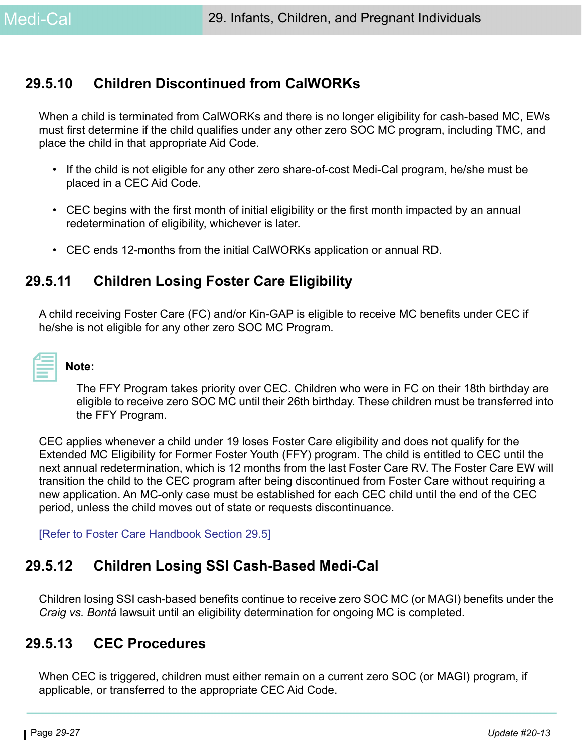## **29.5.10 Children Discontinued from CalWORKs**

When a child is terminated from CalWORKs and there is no longer eligibility for cash-based MC, EWs must first determine if the child qualifies under any other zero SOC MC program, including TMC, and place the child in that appropriate Aid Code.

- If the child is not eligible for any other zero share-of-cost Medi-Cal program, he/she must be placed in a CEC Aid Code.
- CEC begins with the first month of initial eligibility or the first month impacted by an annual redetermination of eligibility, whichever is later.
- CEC ends 12-months from the initial CalWORKs application or annual RD.

## **29.5.11 Children Losing Foster Care Eligibility**

A child receiving Foster Care (FC) and/or Kin-GAP is eligible to receive MC benefits under CEC if he/she is not eligible for any other zero SOC MC Program.

| 2009년 - 대한민국의 대한민국의 대한민국의 대한민국의 대한민국의 대한민국의 대한민국의 대한민국의 대한민국의 대한민국의 대한민국의 대한민국의 대한민국의 대한민국의 대한민국의 대한민국의 대한민국의 |  |  |
|---------------------------------------------------------------------------------------------------------------|--|--|
| <b>Service Service</b>                                                                                        |  |  |
|                                                                                                               |  |  |
|                                                                                                               |  |  |
|                                                                                                               |  |  |
|                                                                                                               |  |  |
|                                                                                                               |  |  |
|                                                                                                               |  |  |
| _______                                                                                                       |  |  |
|                                                                                                               |  |  |
| ________                                                                                                      |  |  |

## **Note:**

The FFY Program takes priority over CEC. Children who were in FC on their 18th birthday are eligible to receive zero SOC MC until their 26th birthday. These children must be transferred into the FFY Program.

CEC applies whenever a child under 19 loses Foster Care eligibility and does not qualify for the Extended MC Eligibility for Former Foster Youth (FFY) program. The child is entitled to CEC until the next annual redetermination, which is 12 months from the last Foster Care RV. The Foster Care EW will transition the child to the CEC program after being discontinued from Foster Care without requiring a new application. An MC-only case must be established for each CEC child until the end of the CEC period, unless the child moves out of state or requests discontinuance.

[Refer to Foster Care Handbook Section 29.5]

## **29.5.12 Children Losing SSI Cash-Based Medi-Cal**

Children losing SSI cash-based benefits continue to receive zero SOC MC (or MAGI) benefits under the *Craig vs. Bontá* lawsuit until an eligibility determination for ongoing MC is completed.

## **29.5.13 CEC Procedures**

When CEC is triggered, children must either remain on a current zero SOC (or MAGI) program, if applicable, or transferred to the appropriate CEC Aid Code.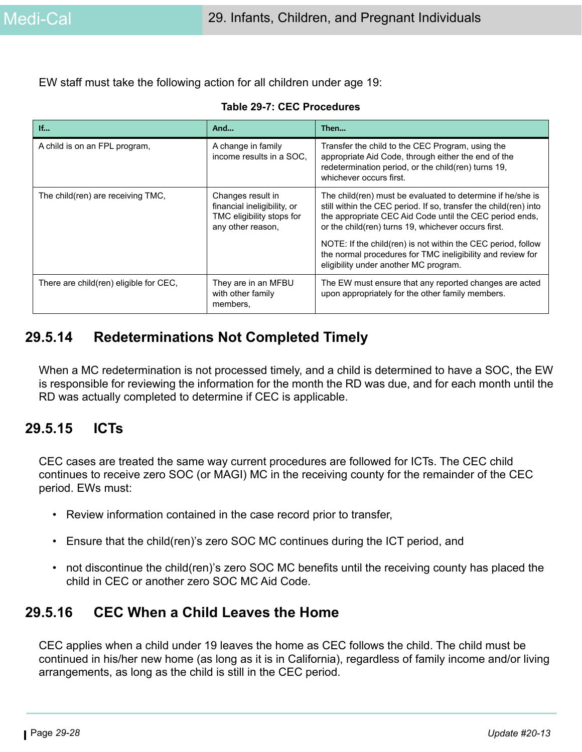EW staff must take the following action for all children under age 19:

**Table 29-7: CEC Procedures**

| If                                     | And                                                                                                | Then                                                                                                                                                                                                                                                                                                             |
|----------------------------------------|----------------------------------------------------------------------------------------------------|------------------------------------------------------------------------------------------------------------------------------------------------------------------------------------------------------------------------------------------------------------------------------------------------------------------|
| A child is on an FPL program,          | A change in family<br>income results in a SOC.                                                     | Transfer the child to the CEC Program, using the<br>appropriate Aid Code, through either the end of the<br>redetermination period, or the child(ren) turns 19,<br>whichever occurs first.                                                                                                                        |
| The child(ren) are receiving TMC,      | Changes result in<br>financial ineligibility, or<br>TMC eligibility stops for<br>any other reason, | The child(ren) must be evaluated to determine if he/she is<br>still within the CEC period. If so, transfer the child(ren) into<br>the appropriate CEC Aid Code until the CEC period ends,<br>or the child(ren) turns 19, whichever occurs first.<br>NOTE: If the child(ren) is not within the CEC period, follow |
|                                        |                                                                                                    | the normal procedures for TMC ineligibility and review for<br>eligibility under another MC program.                                                                                                                                                                                                              |
| There are child(ren) eligible for CEC, | They are in an MFBU<br>with other family<br>members,                                               | The EW must ensure that any reported changes are acted<br>upon appropriately for the other family members.                                                                                                                                                                                                       |

## **29.5.14 Redeterminations Not Completed Timely**

When a MC redetermination is not processed timely, and a child is determined to have a SOC, the EW is responsible for reviewing the information for the month the RD was due, and for each month until the RD was actually completed to determine if CEC is applicable.

## **29.5.15 ICTs**

CEC cases are treated the same way current procedures are followed for ICTs. The CEC child continues to receive zero SOC (or MAGI) MC in the receiving county for the remainder of the CEC period. EWs must:

- Review information contained in the case record prior to transfer,
- Ensure that the child(ren)'s zero SOC MC continues during the ICT period, and
- not discontinue the child(ren)'s zero SOC MC benefits until the receiving county has placed the child in CEC or another zero SOC MC Aid Code.

## **29.5.16 CEC When a Child Leaves the Home**

CEC applies when a child under 19 leaves the home as CEC follows the child. The child must be continued in his/her new home (as long as it is in California), regardless of family income and/or living arrangements, as long as the child is still in the CEC period.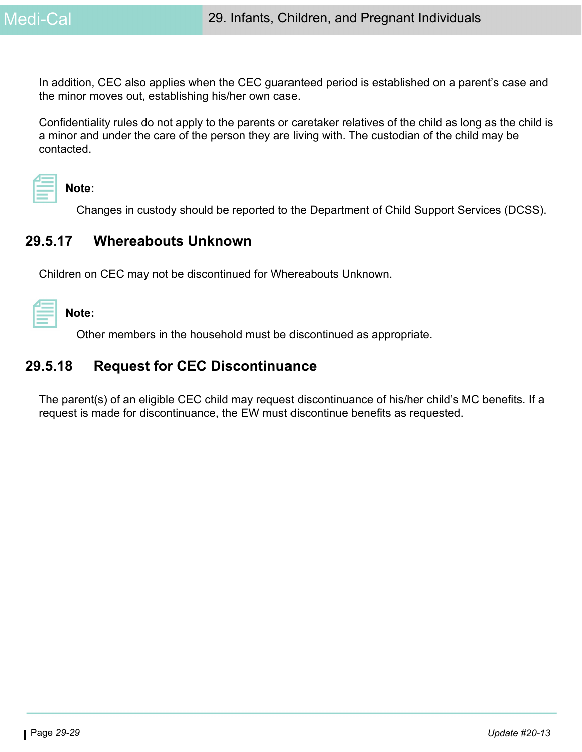In addition, CEC also applies when the CEC guaranteed period is established on a parent's case and the minor moves out, establishing his/her own case.

Confidentiality rules do not apply to the parents or caretaker relatives of the child as long as the child is a minor and under the care of the person they are living with. The custodian of the child may be contacted.



**Note:** 

Changes in custody should be reported to the Department of Child Support Services (DCSS).

## **29.5.17 Whereabouts Unknown**

Children on CEC may not be discontinued for Whereabouts Unknown.

**Note:** 

Other members in the household must be discontinued as appropriate.

## **29.5.18 Request for CEC Discontinuance**

The parent(s) of an eligible CEC child may request discontinuance of his/her child's MC benefits. If a request is made for discontinuance, the EW must discontinue benefits as requested.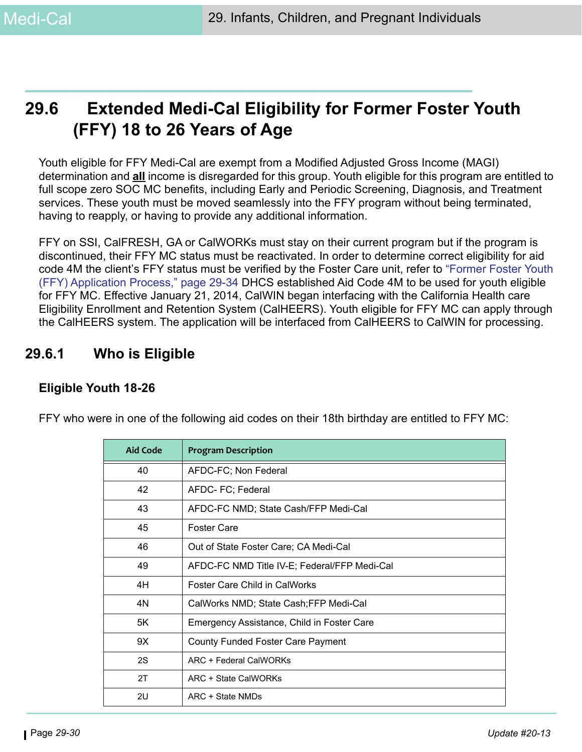# **29.6 Extended Medi-Cal Eligibility for Former Foster Youth (FFY) 18 to 26 Years of Age**

Youth eligible for FFY Medi-Cal are exempt from a Modified Adjusted Gross Income (MAGI) determination and **all** income is disregarded for this group. Youth eligible for this program are entitled to full scope zero SOC MC benefits, including Early and Periodic Screening, Diagnosis, and Treatment services. These youth must be moved seamlessly into the FFY program without being terminated, having to reapply, or having to provide any additional information.

FFY on SSI, CalFRESH, GA or CalWORKs must stay on their current program but if the program is discontinued, their FFY MC status must be reactivated. In order to determine correct eligibility for aid code 4M the client's FFY status must be verified by the Foster Care unit, refer to ["Former Foster Youth](#page-33-0)  [\(FFY\) Application Process," page 29-34](#page-33-0) DHCS established Aid Code 4M to be used for youth eligible for FFY MC. Effective January 21, 2014, CalWIN began interfacing with the California Health care Eligibility Enrollment and Retention System (CalHEERS). Youth eligible for FFY MC can apply through the CalHEERS system. The application will be interfaced from CalHEERS to CalWIN for processing.

## **29.6.1 Who is Eligible**

#### **Eligible Youth 18-26**

| <b>Aid Code</b> | <b>Program Description</b>                   |
|-----------------|----------------------------------------------|
| 40              | AFDC-FC; Non Federal                         |
| 42              | AFDC- FC; Federal                            |
| 43              | AFDC-FC NMD; State Cash/FFP Medi-Cal         |
| 45              | <b>Foster Care</b>                           |
| 46              | Out of State Foster Care; CA Medi-Cal        |
| 49              | AFDC-FC NMD Title IV-E; Federal/FFP Medi-Cal |
| 4H              | <b>Foster Care Child in CalWorks</b>         |
| 4N              | CalWorks NMD; State Cash; FFP Medi-Cal       |
| 5K              | Emergency Assistance, Child in Foster Care   |
| 9X              | <b>County Funded Foster Care Payment</b>     |
| 2S              | ARC + Federal CalWORKs                       |
| 2T              | ARC + State CalWORKs                         |
| 2U              | ARC + State NMDs                             |

FFY who were in one of the following aid codes on their 18th birthday are entitled to FFY MC: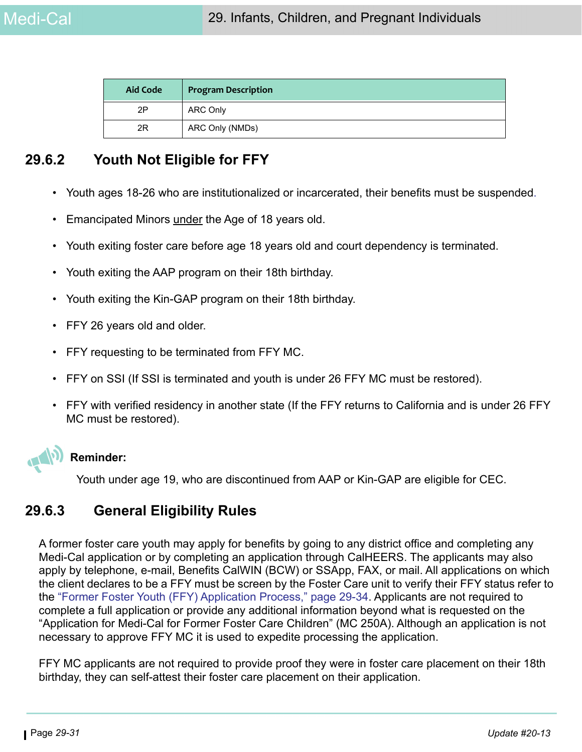| <b>Aid Code</b> | <b>Program Description</b> |
|-----------------|----------------------------|
| 2P              | <b>ARC Only</b>            |
| 2R              | ARC Only (NMDs)            |

## **29.6.2 Youth Not Eligible for FFY**

- Youth ages 18-26 who are institutionalized or incarcerated, their benefits must be suspended.
- Emancipated Minors under the Age of 18 years old.
- Youth exiting foster care before age 18 years old and court dependency is terminated.
- Youth exiting the AAP program on their 18th birthday.
- Youth exiting the Kin-GAP program on their 18th birthday.
- FFY 26 years old and older.
- FFY requesting to be terminated from FFY MC.
- FFY on SSI (If SSI is terminated and youth is under 26 FFY MC must be restored).
- FFY with verified residency in another state (If the FFY returns to California and is under 26 FFY MC must be restored).



#### **Reminder:**

Youth under age 19, who are discontinued from AAP or Kin-GAP are eligible for CEC.

## **29.6.3 General Eligibility Rules**

A former foster care youth may apply for benefits by going to any district office and completing any Medi-Cal application or by completing an application through CalHEERS. The applicants may also apply by telephone, e-mail, Benefits CalWIN (BCW) or SSApp, FAX, or mail. All applications on which the client declares to be a FFY must be screen by the Foster Care unit to verify their FFY status refer to the ["Former Foster Youth \(FFY\) Application Process," page 29-34.](#page-33-0) Applicants are not required to complete a full application or provide any additional information beyond what is requested on the "Application for Medi-Cal for Former Foster Care Children" (MC 250A). Although an application is not necessary to approve FFY MC it is used to expedite processing the application.

FFY MC applicants are not required to provide proof they were in foster care placement on their 18th birthday, they can self-attest their foster care placement on their application.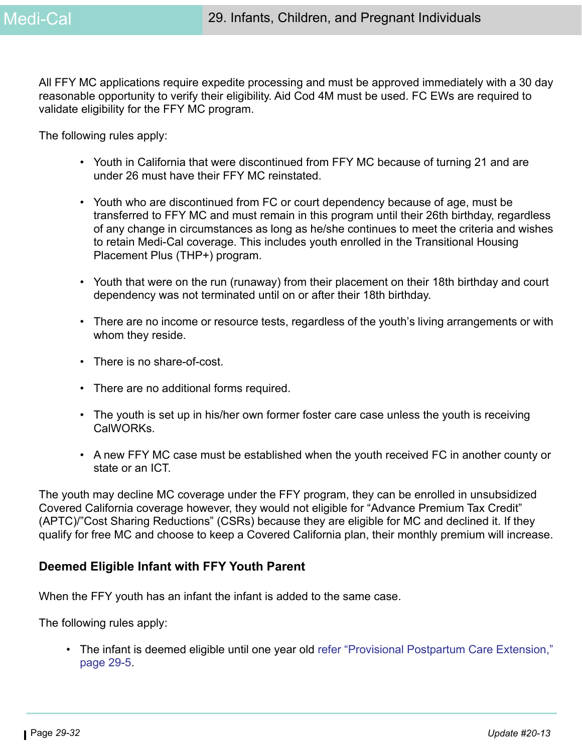All FFY MC applications require expedite processing and must be approved immediately with a 30 day reasonable opportunity to verify their eligibility. Aid Cod 4M must be used. FC EWs are required to validate eligibility for the FFY MC program.

The following rules apply:

- Youth in California that were discontinued from FFY MC because of turning 21 and are under 26 must have their FFY MC reinstated.
- Youth who are discontinued from FC or court dependency because of age, must be transferred to FFY MC and must remain in this program until their 26th birthday, regardless of any change in circumstances as long as he/she continues to meet the criteria and wishes to retain Medi-Cal coverage. This includes youth enrolled in the Transitional Housing Placement Plus (THP+) program.
- Youth that were on the run (runaway) from their placement on their 18th birthday and court dependency was not terminated until on or after their 18th birthday.
- There are no income or resource tests, regardless of the youth's living arrangements or with whom they reside.
- There is no share-of-cost.
- There are no additional forms required.
- The youth is set up in his/her own former foster care case unless the youth is receiving CalWORKs.
- A new FFY MC case must be established when the youth received FC in another county or state or an ICT.

The youth may decline MC coverage under the FFY program, they can be enrolled in unsubsidized Covered California coverage however, they would not eligible for "Advance Premium Tax Credit" (APTC)/"Cost Sharing Reductions" (CSRs) because they are eligible for MC and declined it. If they qualify for free MC and choose to keep a Covered California plan, their monthly premium will increase.

#### **Deemed Eligible Infant with FFY Youth Parent**

When the FFY youth has an infant the infant is added to the same case.

The following rules apply:

• The infant is deemed eligible until one year old refer ["Provisional Postpartum Care Extension,"](#page-4-0)  [page 29-5](#page-4-0).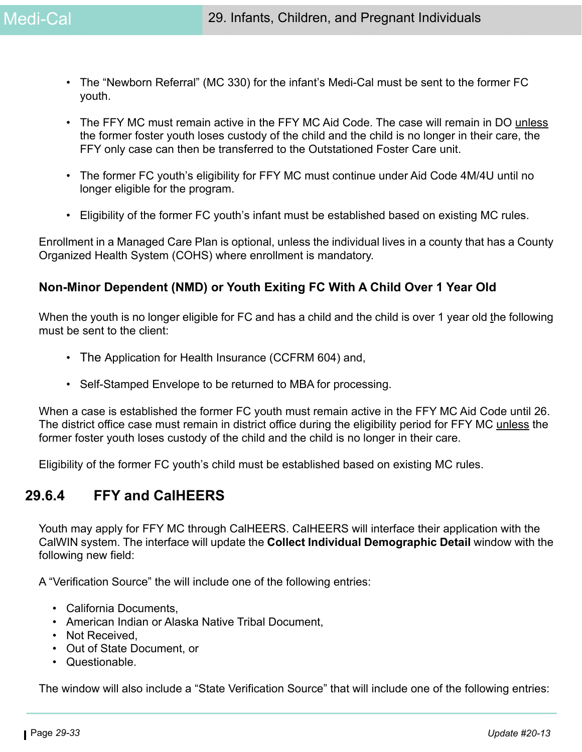- The "Newborn Referral" (MC 330) for the infant's Medi-Cal must be sent to the former FC youth.
- The FFY MC must remain active in the FFY MC Aid Code. The case will remain in DO unless the former foster youth loses custody of the child and the child is no longer in their care, the FFY only case can then be transferred to the Outstationed Foster Care unit.
- The former FC youth's eligibility for FFY MC must continue under Aid Code 4M/4U until no longer eligible for the program.
- Eligibility of the former FC youth's infant must be established based on existing MC rules.

Enrollment in a Managed Care Plan is optional, unless the individual lives in a county that has a County Organized Health System (COHS) where enrollment is mandatory.

#### **Non-Minor Dependent (NMD) or Youth Exiting FC With A Child Over 1 Year Old**

When the youth is no longer eligible for FC and has a child and the child is over 1 year old the following must be sent to the client:

- The Application for Health Insurance (CCFRM 604) and,
- Self-Stamped Envelope to be returned to MBA for processing.

When a case is established the former FC youth must remain active in the FFY MC Aid Code until 26. The district office case must remain in district office during the eligibility period for FFY MC unless the former foster youth loses custody of the child and the child is no longer in their care.

Eligibility of the former FC youth's child must be established based on existing MC rules.

## **29.6.4 FFY and CalHEERS**

Youth may apply for FFY MC through CalHEERS. CalHEERS will interface their application with the CalWIN system. The interface will update the **Collect Individual Demographic Detail** window with the following new field:

A "Verification Source" the will include one of the following entries:

- California Documents,
- American Indian or Alaska Native Tribal Document,
- Not Received,
- Out of State Document, or
- Questionable.

The window will also include a "State Verification Source" that will include one of the following entries: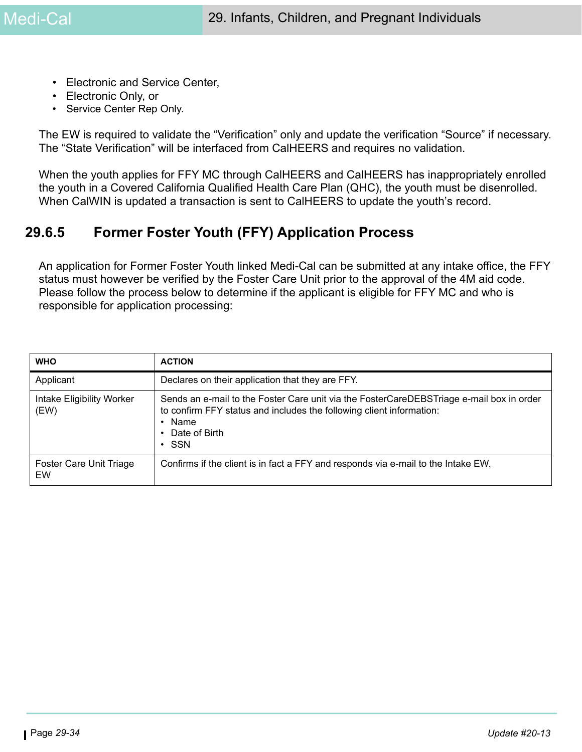- Electronic and Service Center,
- Electronic Only, or
- Service Center Rep Only.

The EW is required to validate the "Verification" only and update the verification "Source" if necessary. The "State Verification" will be interfaced from CalHEERS and requires no validation.

When the youth applies for FFY MC through CalHEERS and CalHEERS has inappropriately enrolled the youth in a Covered California Qualified Health Care Plan (QHC), the youth must be disenrolled. When CalWIN is updated a transaction is sent to CalHEERS to update the youth's record.

## <span id="page-33-0"></span>**29.6.5 Former Foster Youth (FFY) Application Process**

An application for Former Foster Youth linked Medi-Cal can be submitted at any intake office, the FFY status must however be verified by the Foster Care Unit prior to the approval of the 4M aid code. Please follow the process below to determine if the applicant is eligible for FFY MC and who is responsible for application processing:

| <b>WHO</b>                        | <b>ACTION</b>                                                                                                                                                                                                      |
|-----------------------------------|--------------------------------------------------------------------------------------------------------------------------------------------------------------------------------------------------------------------|
| Applicant                         | Declares on their application that they are FFY.                                                                                                                                                                   |
| Intake Eligibility Worker<br>(EW) | Sends an e-mail to the Foster Care unit via the FosterCareDEBSTriage e-mail box in order<br>to confirm FFY status and includes the following client information:<br>$\cdot$ Name<br>• Date of Birth<br>$\cdot$ SSN |
| Foster Care Unit Triage<br>EW     | Confirms if the client is in fact a FFY and responds via e-mail to the Intake EW.                                                                                                                                  |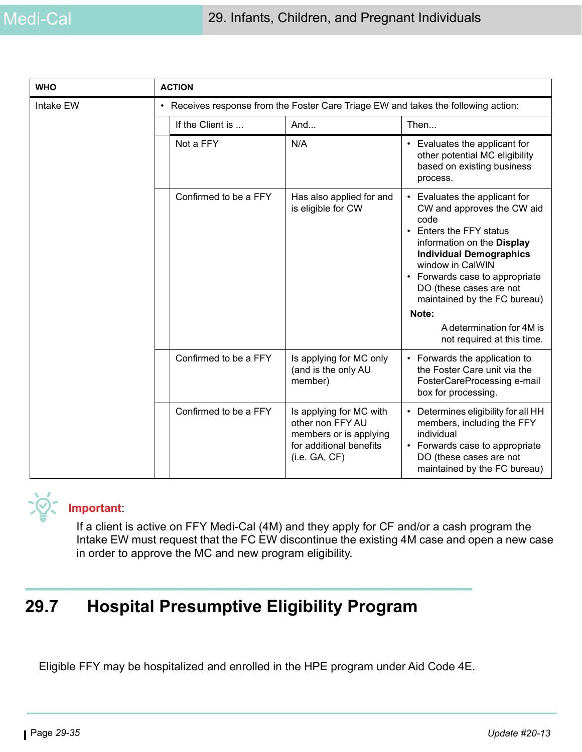| <b>WHO</b> | <b>ACTION</b>                                                                      |                                                                                                                   |                                                                                                                                                                                                                                                                                                     |
|------------|------------------------------------------------------------------------------------|-------------------------------------------------------------------------------------------------------------------|-----------------------------------------------------------------------------------------------------------------------------------------------------------------------------------------------------------------------------------------------------------------------------------------------------|
| Intake EW  | • Receives response from the Foster Care Triage EW and takes the following action: |                                                                                                                   |                                                                                                                                                                                                                                                                                                     |
|            | If the Client is                                                                   | And                                                                                                               | Then                                                                                                                                                                                                                                                                                                |
|            | Not a FFY                                                                          | N/A                                                                                                               | Evaluates the applicant for<br>$\bullet$<br>other potential MC eligibility<br>based on existing business<br>process.                                                                                                                                                                                |
|            | Confirmed to be a FFY                                                              | Has also applied for and<br>is eligible for CW                                                                    | • Evaluates the applicant for<br>CW and approves the CW aid<br>code<br>Enters the FFY status<br>$\bullet$<br>information on the Display<br><b>Individual Demographics</b><br>window in CalWIN<br>• Forwards case to appropriate<br>DO (these cases are not<br>maintained by the FC bureau)<br>Note: |
|            |                                                                                    |                                                                                                                   | A determination for 4M is<br>not required at this time.                                                                                                                                                                                                                                             |
|            | Confirmed to be a FFY                                                              | Is applying for MC only<br>(and is the only AU<br>member)                                                         | • Forwards the application to<br>the Foster Care unit via the<br>FosterCareProcessing e-mail<br>box for processing.                                                                                                                                                                                 |
|            | Confirmed to be a FFY                                                              | Is applying for MC with<br>other non FFY AU<br>members or is applying<br>for additional benefits<br>(i.e. GA, CF) | Determines eligibility for all HH<br>$\bullet$<br>members, including the FFY<br>individual<br>• Forwards case to appropriate<br>DO (these cases are not<br>maintained by the FC bureau)                                                                                                             |



## **Important**:

If a client is active on FFY Medi-Cal (4M) and they apply for CF and/or a cash program the Intake EW must request that the FC EW discontinue the existing 4M case and open a new case in order to approve the MC and new program eligibility.

# **29.7 Hospital Presumptive Eligibility Program**

Eligible FFY may be hospitalized and enrolled in the HPE program under Aid Code 4E.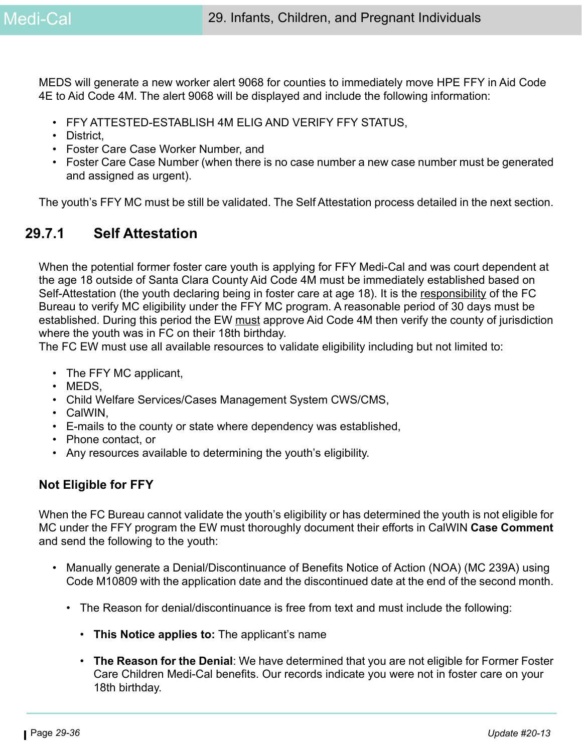MEDS will generate a new worker alert 9068 for counties to immediately move HPE FFY in Aid Code 4E to Aid Code 4M. The alert 9068 will be displayed and include the following information:

- FFY ATTESTED-ESTABLISH 4M ELIG AND VERIFY FFY STATUS,
- District.
- Foster Care Case Worker Number, and
- Foster Care Case Number (when there is no case number a new case number must be generated and assigned as urgent).

The youth's FFY MC must be still be validated. The Self Attestation process detailed in the next section.

## **29.7.1 Self Attestation**

When the potential former foster care youth is applying for FFY Medi-Cal and was court dependent at the age 18 outside of Santa Clara County Aid Code 4M must be immediately established based on Self-Attestation (the youth declaring being in foster care at age 18). It is the responsibility of the FC Bureau to verify MC eligibility under the FFY MC program. A reasonable period of 30 days must be established. During this period the EW must approve Aid Code 4M then verify the county of jurisdiction where the youth was in FC on their 18th birthday.

The FC EW must use all available resources to validate eligibility including but not limited to:

- The FFY MC applicant,
- MEDS,
- Child Welfare Services/Cases Management System CWS/CMS,
- CalWIN,
- E-mails to the county or state where dependency was established,
- Phone contact, or
- Any resources available to determining the youth's eligibility.

#### **Not Eligible for FFY**

When the FC Bureau cannot validate the youth's eligibility or has determined the youth is not eligible for MC under the FFY program the EW must thoroughly document their efforts in CalWIN **Case Comment**  and send the following to the youth:

- Manually generate a Denial/Discontinuance of Benefits Notice of Action (NOA) (MC 239A) using Code M10809 with the application date and the discontinued date at the end of the second month.
	- The Reason for denial/discontinuance is free from text and must include the following:
		- **This Notice applies to:** The applicant's name
		- **The Reason for the Denial**: We have determined that you are not eligible for Former Foster Care Children Medi-Cal benefits. Our records indicate you were not in foster care on your 18th birthday.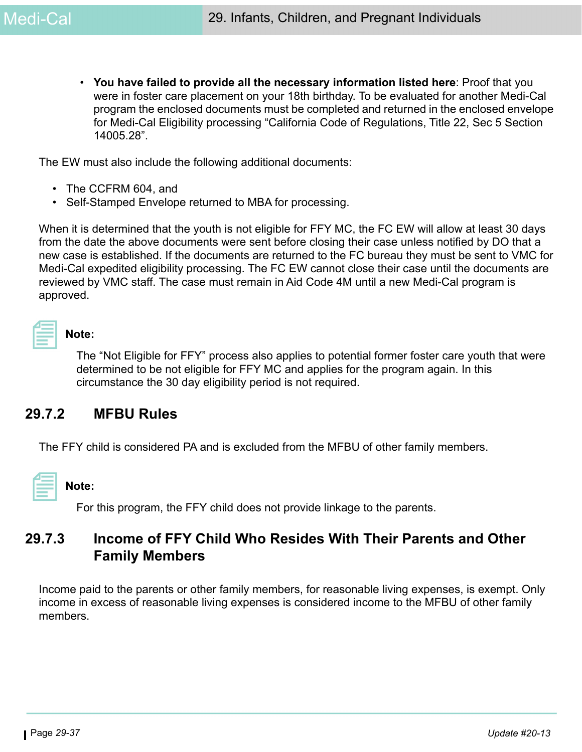• **You have failed to provide all the necessary information listed here**: Proof that you were in foster care placement on your 18th birthday. To be evaluated for another Medi-Cal program the enclosed documents must be completed and returned in the enclosed envelope for Medi-Cal Eligibility processing "California Code of Regulations, Title 22, Sec 5 Section 14005.28".

The EW must also include the following additional documents:

- The CCFRM 604, and
- Self-Stamped Envelope returned to MBA for processing.

When it is determined that the youth is not eligible for FFY MC, the FC EW will allow at least 30 days from the date the above documents were sent before closing their case unless notified by DO that a new case is established. If the documents are returned to the FC bureau they must be sent to VMC for Medi-Cal expedited eligibility processing. The FC EW cannot close their case until the documents are reviewed by VMC staff. The case must remain in Aid Code 4M until a new Medi-Cal program is approved.

| ۰. |
|----|
|    |

#### **Note:**

The "Not Eligible for FFY" process also applies to potential former foster care youth that were determined to be not eligible for FFY MC and applies for the program again. In this circumstance the 30 day eligibility period is not required.

## **29.7.2 MFBU Rules**

The FFY child is considered PA and is excluded from the MFBU of other family members.

#### **Note:**

For this program, the FFY child does not provide linkage to the parents.

## **29.7.3 Income of FFY Child Who Resides With Their Parents and Other Family Members**

Income paid to the parents or other family members, for reasonable living expenses, is exempt. Only income in excess of reasonable living expenses is considered income to the MFBU of other family members.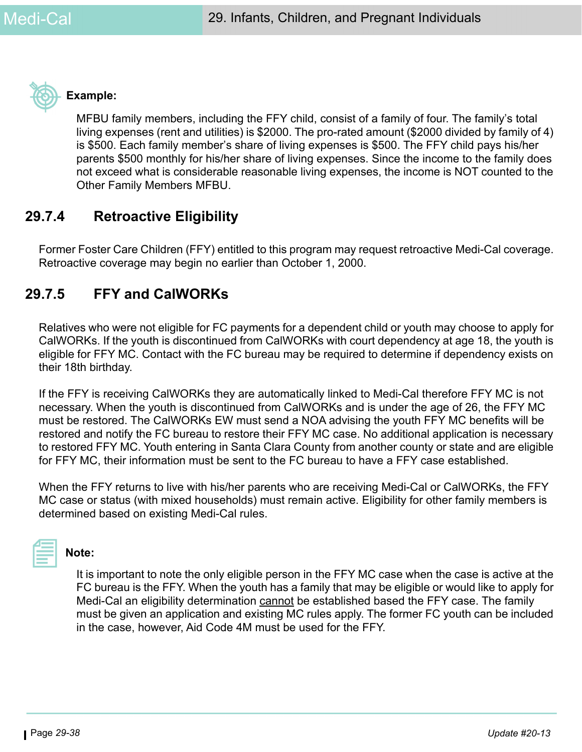

#### **Example:**

MFBU family members, including the FFY child, consist of a family of four. The family's total living expenses (rent and utilities) is \$2000. The pro-rated amount (\$2000 divided by family of 4) is \$500. Each family member's share of living expenses is \$500. The FFY child pays his/her parents \$500 monthly for his/her share of living expenses. Since the income to the family does not exceed what is considerable reasonable living expenses, the income is NOT counted to the Other Family Members MFBU.

## **29.7.4 Retroactive Eligibility**

Former Foster Care Children (FFY) entitled to this program may request retroactive Medi-Cal coverage. Retroactive coverage may begin no earlier than October 1, 2000.

## **29.7.5 FFY and CalWORKs**

Relatives who were not eligible for FC payments for a dependent child or youth may choose to apply for CalWORKs. If the youth is discontinued from CalWORKs with court dependency at age 18, the youth is eligible for FFY MC. Contact with the FC bureau may be required to determine if dependency exists on their 18th birthday.

If the FFY is receiving CalWORKs they are automatically linked to Medi-Cal therefore FFY MC is not necessary. When the youth is discontinued from CalWORKs and is under the age of 26, the FFY MC must be restored. The CalWORKs EW must send a NOA advising the youth FFY MC benefits will be restored and notify the FC bureau to restore their FFY MC case. No additional application is necessary to restored FFY MC. Youth entering in Santa Clara County from another county or state and are eligible for FFY MC, their information must be sent to the FC bureau to have a FFY case established.

When the FFY returns to live with his/her parents who are receiving Medi-Cal or CalWORKs, the FFY MC case or status (with mixed households) must remain active. Eligibility for other family members is determined based on existing Medi-Cal rules.



#### **Note:**

It is important to note the only eligible person in the FFY MC case when the case is active at the FC bureau is the FFY. When the youth has a family that may be eligible or would like to apply for Medi-Cal an eligibility determination cannot be established based the FFY case. The family must be given an application and existing MC rules apply. The former FC youth can be included in the case, however, Aid Code 4M must be used for the FFY.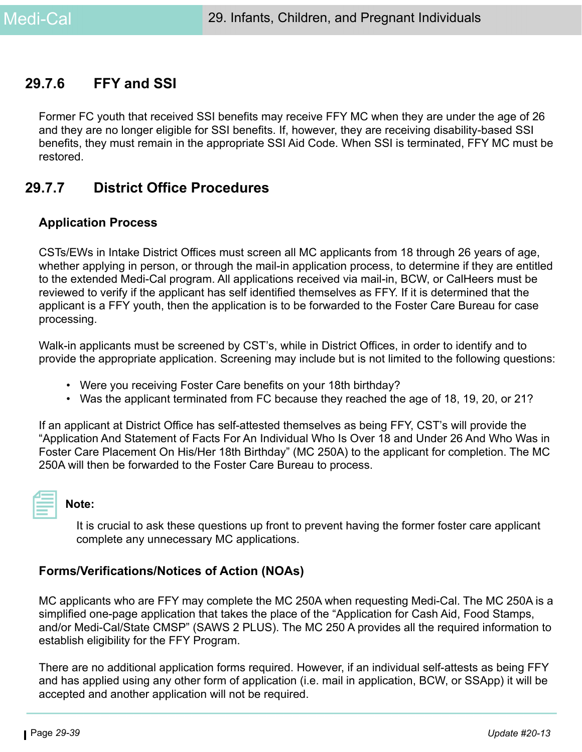## **29.7.6 FFY and SSI**

Former FC youth that received SSI benefits may receive FFY MC when they are under the age of 26 and they are no longer eligible for SSI benefits. If, however, they are receiving disability-based SSI benefits, they must remain in the appropriate SSI Aid Code. When SSI is terminated, FFY MC must be restored.

## **29.7.7 District Office Procedures**

#### **Application Process**

CSTs/EWs in Intake District Offices must screen all MC applicants from 18 through 26 years of age, whether applying in person, or through the mail-in application process, to determine if they are entitled to the extended Medi-Cal program. All applications received via mail-in, BCW, or CalHeers must be reviewed to verify if the applicant has self identified themselves as FFY. If it is determined that the applicant is a FFY youth, then the application is to be forwarded to the Foster Care Bureau for case processing.

Walk-in applicants must be screened by CST's, while in District Offices, in order to identify and to provide the appropriate application. Screening may include but is not limited to the following questions:

- Were you receiving Foster Care benefits on your 18th birthday?
- Was the applicant terminated from FC because they reached the age of 18, 19, 20, or 21?

If an applicant at District Office has self-attested themselves as being FFY, CST's will provide the "Application And Statement of Facts For An Individual Who Is Over 18 and Under 26 And Who Was in Foster Care Placement On His/Her 18th Birthday" (MC 250A) to the applicant for completion. The MC 250A will then be forwarded to the Foster Care Bureau to process.

#### **Note:**

It is crucial to ask these questions up front to prevent having the former foster care applicant complete any unnecessary MC applications.

#### **Forms/Verifications/Notices of Action (NOAs)**

MC applicants who are FFY may complete the MC 250A when requesting Medi-Cal. The MC 250A is a simplified one-page application that takes the place of the "Application for Cash Aid, Food Stamps, and/or Medi-Cal/State CMSP" (SAWS 2 PLUS). The MC 250 A provides all the required information to establish eligibility for the FFY Program.

There are no additional application forms required. However, if an individual self-attests as being FFY and has applied using any other form of application (i.e. mail in application, BCW, or SSApp) it will be accepted and another application will not be required.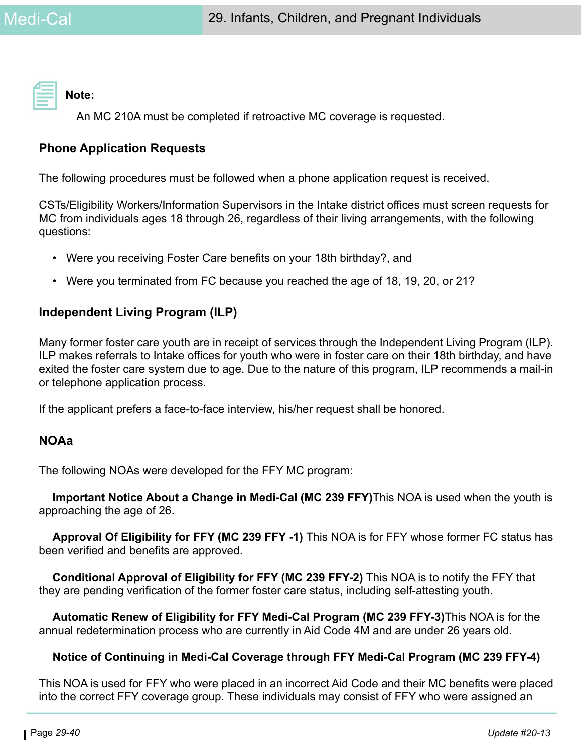**Note:** 

An MC 210A must be completed if retroactive MC coverage is requested.

## **Phone Application Requests**

The following procedures must be followed when a phone application request is received.

CSTs/Eligibility Workers/Information Supervisors in the Intake district offices must screen requests for MC from individuals ages 18 through 26, regardless of their living arrangements, with the following questions:

- Were you receiving Foster Care benefits on your 18th birthday?, and
- Were you terminated from FC because you reached the age of 18, 19, 20, or 21?

## **Independent Living Program (ILP)**

Many former foster care youth are in receipt of services through the Independent Living Program (ILP). ILP makes referrals to Intake offices for youth who were in foster care on their 18th birthday, and have exited the foster care system due to age. Due to the nature of this program, ILP recommends a mail-in or telephone application process.

If the applicant prefers a face-to-face interview, his/her request shall be honored.

#### **NOAa**

The following NOAs were developed for the FFY MC program:

**Important Notice About a Change in Medi-Cal (MC 239 FFY)**This NOA is used when the youth is approaching the age of 26.

**Approval Of Eligibility for FFY (MC 239 FFY -1)** This NOA is for FFY whose former FC status has been verified and benefits are approved.

**Conditional Approval of Eligibility for FFY (MC 239 FFY-2)** This NOA is to notify the FFY that they are pending verification of the former foster care status, including self-attesting youth.

**Automatic Renew of Eligibility for FFY Medi-Cal Program (MC 239 FFY-3)**This NOA is for the annual redetermination process who are currently in Aid Code 4M and are under 26 years old.

#### **Notice of Continuing in Medi-Cal Coverage through FFY Medi-Cal Program (MC 239 FFY-4)**

This NOA is used for FFY who were placed in an incorrect Aid Code and their MC benefits were placed into the correct FFY coverage group. These individuals may consist of FFY who were assigned an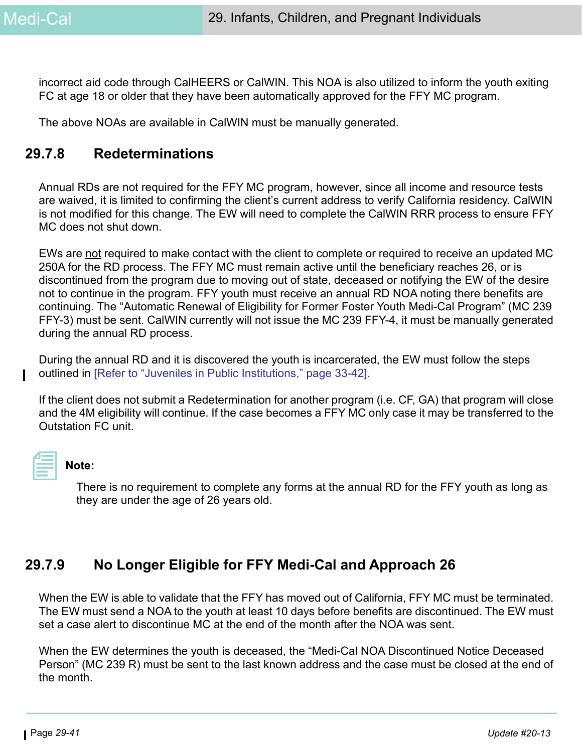incorrect aid code through CalHEERS or CalWIN. This NOA is also utilized to inform the youth exiting FC at age 18 or older that they have been automatically approved for the FFY MC program.

The above NOAs are available in CalWIN must be manually generated.

## **29.7.8 Redeterminations**

Annual RDs are not required for the FFY MC program, however, since all income and resource tests are waived, it is limited to confirming the client's current address to verify California residency. CalWIN is not modified for this change. The EW will need to complete the CalWIN RRR process to ensure FFY MC does not shut down.

EWs are not required to make contact with the client to complete or required to receive an updated MC 250A for the RD process. The FFY MC must remain active until the beneficiary reaches 26, or is discontinued from the program due to moving out of state, deceased or notifying the EW of the desire not to continue in the program. FFY youth must receive an annual RD NOA noting there benefits are continuing. The "Automatic Renewal of Eligibility for Former Foster Youth Medi-Cal Program" (MC 239 FFY-3) must be sent. CalWIN currently will not issue the MC 239 FFY-4, it must be manually generated during the annual RD process.

During the annual RD and it is discovered the youth is incarcerated, the EW must follow the steps outlined in [Refer to "Juveniles in Public Institutions," page 33-42].

If the client does not submit a Redetermination for another program (i.e. CF, GA) that program will close and the 4M eligibility will continue. If the case becomes a FFY MC only case it may be transferred to the Outstation FC unit.



#### **Note:**

There is no requirement to complete any forms at the annual RD for the FFY youth as long as they are under the age of 26 years old.

## **29.7.9 No Longer Eligible for FFY Medi-Cal and Approach 26**

When the EW is able to validate that the FFY has moved out of California, FFY MC must be terminated. The EW must send a NOA to the youth at least 10 days before benefits are discontinued. The EW must set a case alert to discontinue MC at the end of the month after the NOA was sent.

When the EW determines the youth is deceased, the "Medi-Cal NOA Discontinued Notice Deceased Person" (MC 239 R) must be sent to the last known address and the case must be closed at the end of the month.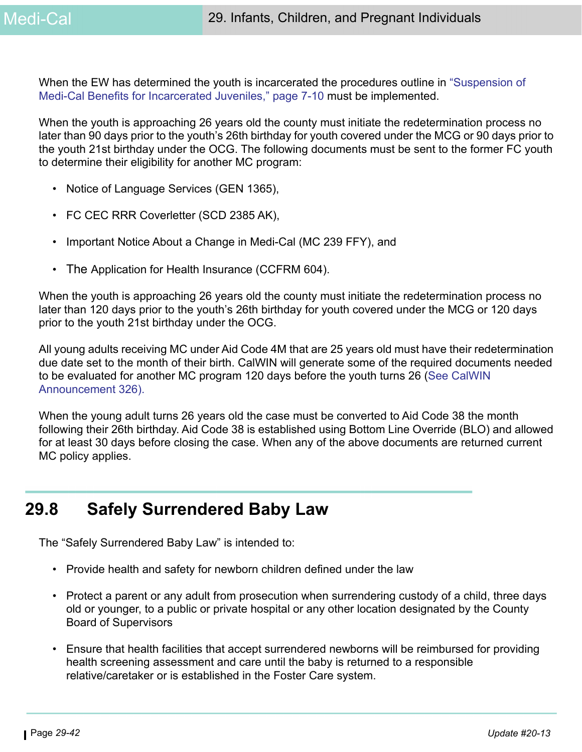When the EW has determined the youth is incarcerated the procedures outline in "Suspension of Medi-Cal Benefits for Incarcerated Juveniles," page 7-10 must be implemented.

When the youth is approaching 26 years old the county must initiate the redetermination process no later than 90 days prior to the youth's 26th birthday for youth covered under the MCG or 90 days prior to the youth 21st birthday under the OCG. The following documents must be sent to the former FC youth to determine their eligibility for another MC program:

- Notice of Language Services (GEN 1365),
- FC CEC RRR Coverletter (SCD 2385 AK),
- Important Notice About a Change in Medi-Cal (MC 239 FFY), and
- The Application for Health Insurance (CCFRM 604).

When the youth is approaching 26 years old the county must initiate the redetermination process no later than 120 days prior to the youth's 26th birthday for youth covered under the MCG or 120 days prior to the youth 21st birthday under the OCG.

All young adults receiving MC under Aid Code 4M that are 25 years old must have their redetermination due date set to the month of their birth. CalWIN will generate some of the required documents needed to be evaluated for another MC program 120 days before the youth turns 26 (See CalWIN Announcement 326).

When the young adult turns 26 years old the case must be converted to Aid Code 38 the month following their 26th birthday. Aid Code 38 is established using Bottom Line Override (BLO) and allowed for at least 30 days before closing the case. When any of the above documents are returned current MC policy applies.

# **29.8 Safely Surrendered Baby Law**

The "Safely Surrendered Baby Law" is intended to:

- Provide health and safety for newborn children defined under the law
- Protect a parent or any adult from prosecution when surrendering custody of a child, three days old or younger, to a public or private hospital or any other location designated by the County Board of Supervisors
- Ensure that health facilities that accept surrendered newborns will be reimbursed for providing health screening assessment and care until the baby is returned to a responsible relative/caretaker or is established in the Foster Care system.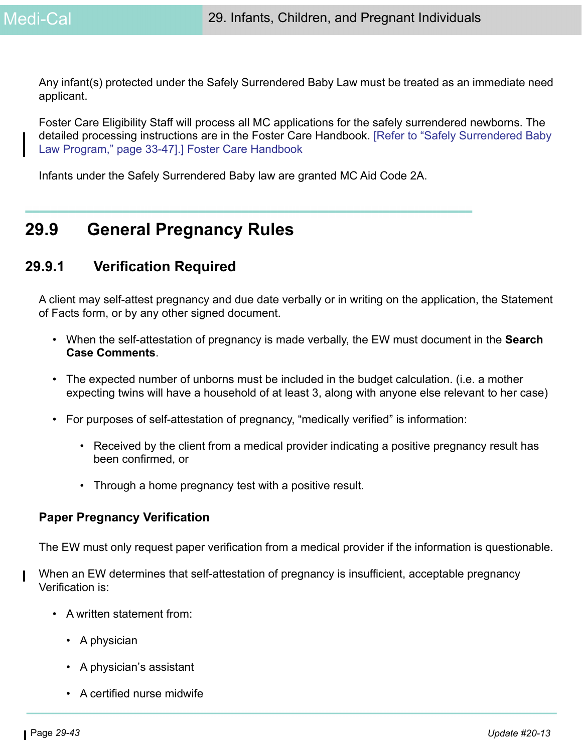Any infant(s) protected under the Safely Surrendered Baby Law must be treated as an immediate need applicant.

Foster Care Eligibility Staff will process all MC applications for the safely surrendered newborns. The detailed processing instructions are in the Foster Care Handbook. [Refer to "Safely Surrendered Baby Law Program," page 33-47].] Foster Care Handbook

Infants under the Safely Surrendered Baby law are granted MC Aid Code 2A.

# **29.9 General Pregnancy Rules**

## **29.9.1 Verification Required**

A client may self-attest pregnancy and due date verbally or in writing on the application, the Statement of Facts form, or by any other signed document.

- When the self-attestation of pregnancy is made verbally, the EW must document in the **Search Case Comments**.
- The expected number of unborns must be included in the budget calculation. (i.e. a mother expecting twins will have a household of at least 3, along with anyone else relevant to her case)
- For purposes of self-attestation of pregnancy, "medically verified" is information:
	- Received by the client from a medical provider indicating a positive pregnancy result has been confirmed, or
	- Through a home pregnancy test with a positive result.

#### **Paper Pregnancy Verification**

The EW must only request paper verification from a medical provider if the information is questionable.

- When an EW determines that self-attestation of pregnancy is insufficient, acceptable pregnancy Verification is:
	- A written statement from:
		- A physician
		- A physician's assistant
		- A certified nurse midwife